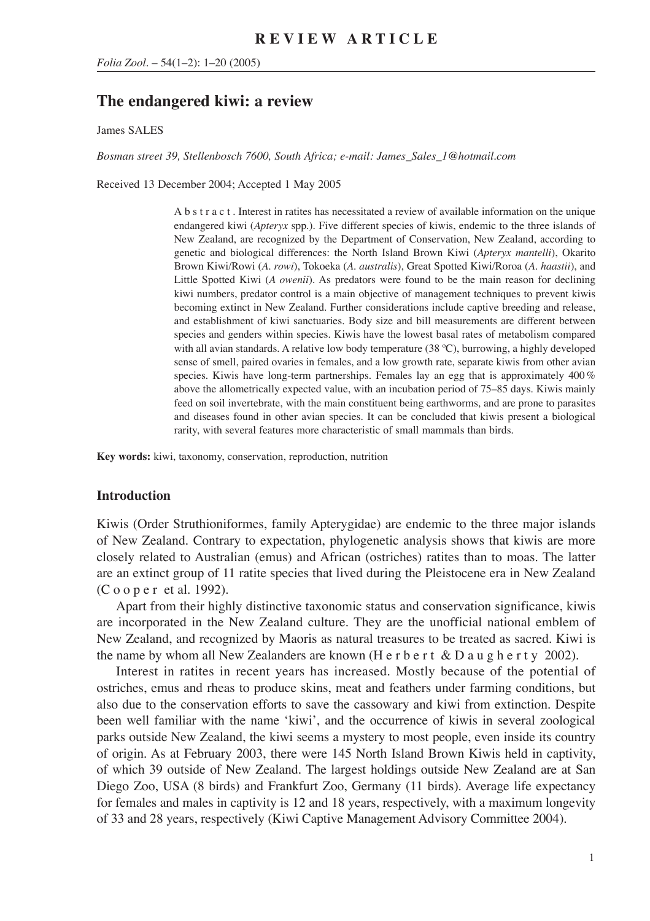# **The endangered kiwi: a review**

James SALES

*Bosman street 39, Stellenbosch 7600, South Africa; e-mail: James\_Sales\_1@hotmail.com*

Received 13 December 2004; Accepted 1 May 2005

A b s t r a c t . Interest in ratites has necessitated a review of available information on the unique endangered kiwi (*Apteryx* spp.). Five different species of kiwis, endemic to the three islands of New Zealand, are recognized by the Department of Conservation, New Zealand, according to genetic and biological differences: the North Island Brown Kiwi (*Apteryx mantelli*), Okarito Brown Kiwi/Rowi (*A. rowi*), Tokoeka (*A. australis*), Great Spotted Kiwi/Roroa (*A. haastii*), and Little Spotted Kiwi (*A owenii*). As predators were found to be the main reason for declining kiwi numbers, predator control is a main objective of management techniques to prevent kiwis becoming extinct in New Zealand. Further considerations include captive breeding and release, and establishment of kiwi sanctuaries. Body size and bill measurements are different between species and genders within species. Kiwis have the lowest basal rates of metabolism compared with all avian standards. A relative low body temperature (38 ºC), burrowing, a highly developed sense of smell, paired ovaries in females, and a low growth rate, separate kiwis from other avian species. Kiwis have long-term partnerships. Females lay an egg that is approximately 400 % above the allometrically expected value, with an incubation period of 75–85 days. Kiwis mainly feed on soil invertebrate, with the main constituent being earthworms, and are prone to parasites and diseases found in other avian species. It can be concluded that kiwis present a biological rarity, with several features more characteristic of small mammals than birds.

**Key words:** kiwi, taxonomy, conservation, reproduction, nutrition

#### **Introduction**

Kiwis (Order Struthioniformes, family Apterygidae) are endemic to the three major islands of New Zealand. Contrary to expectation, phylogenetic analysis shows that kiwis are more closely related to Australian (emus) and African (ostriches) ratites than to moas. The latter are an extinct group of 11 ratite species that lived during the Pleistocene era in New Zealand (C o o p e r et al. 1992).

Apart from their highly distinctive taxonomic status and conservation significance, kiwis are incorporated in the New Zealand culture. They are the unofficial national emblem of New Zealand, and recognized by Maoris as natural treasures to be treated as sacred. Kiwi is the name by whom all New Zealanders are known (H e r b e r t  $\&$  D a u g h e r t y 2002).

Interest in ratites in recent years has increased. Mostly because of the potential of ostriches, emus and rheas to produce skins, meat and feathers under farming conditions, but also due to the conservation efforts to save the cassowary and kiwi from extinction. Despite been well familiar with the name 'kiwi', and the occurrence of kiwis in several zoological parks outside New Zealand, the kiwi seems a mystery to most people, even inside its country of origin. As at February 2003, there were 145 North Island Brown Kiwis held in captivity, of which 39 outside of New Zealand. The largest holdings outside New Zealand are at San Diego Zoo, USA (8 birds) and Frankfurt Zoo, Germany (11 birds). Average life expectancy for females and males in captivity is 12 and 18 years, respectively, with a maximum longevity of 33 and 28 years, respectively (Kiwi Captive Management Advisory Committee 2004).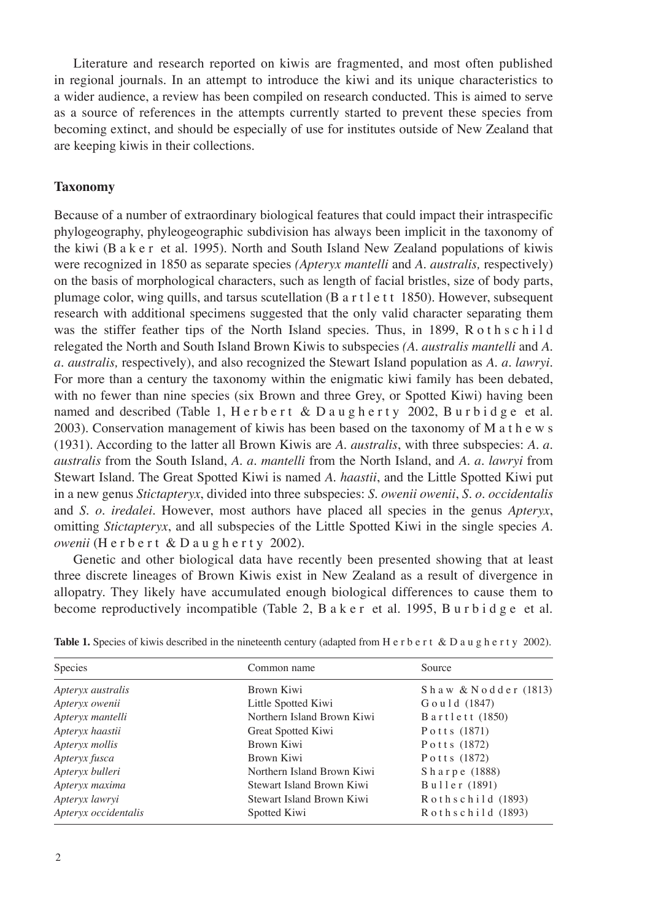Literature and research reported on kiwis are fragmented, and most often published in regional journals. In an attempt to introduce the kiwi and its unique characteristics to a wider audience, a review has been compiled on research conducted. This is aimed to serve as a source of references in the attempts currently started to prevent these species from becoming extinct, and should be especially of use for institutes outside of New Zealand that are keeping kiwis in their collections.

# **Taxonomy**

Because of a number of extraordinary biological features that could impact their intraspecific phylogeography, phyleogeographic subdivision has always been implicit in the taxonomy of the kiwi (B a k e r et al. 1995). North and South Island New Zealand populations of kiwis were recognized in 1850 as separate species *(Apteryx mantelli* and *A*. *australis,* respectively) on the basis of morphological characters, such as length of facial bristles, size of body parts, plumage color, wing quills, and tarsus scutellation (B a r t l e t t 1850). However, subsequent research with additional specimens suggested that the only valid character separating them was the stiffer feather tips of the North Island species. Thus, in 1899, R o th s c h i l d relegated the North and South Island Brown Kiwis to subspecies *(A. australis mantelli* and *A. a. australis,* respectively), and also recognized the Stewart Island population as *A. a. lawryi.* For more than a century the taxonomy within the enigmatic kiwi family has been debated, with no fewer than nine species (six Brown and three Grey, or Spotted Kiwi) having been named and described (Table 1, H e r b e r t & D a u g h e r t y 2002, B u r b i d g e et al. 2003). Conservation management of kiwis has been based on the taxonomy of M a t h e w s (1931). According to the latter all Brown Kiwis are *A. australis*, with three subspecies: *A. a. australis* from the South Island, *A. a. mantelli* from the North Island, and *A. a. lawryi* from Stewart Island. The Great Spotted Kiwi is named *A. haastii*, and the Little Spotted Kiwi put in a new genus *Stictapteryx*, divided into three subspecies: *S. owenii owenii*, *S. o. occidentalis* and *S. o. iredalei.* However, most authors have placed all species in the genus *Apteryx*, omitting *Stictapteryx*, and all subspecies of the Little Spotted Kiwi in the single species *A. owenii* (H e r b e r t & D a u g h e r t y 2002).

Genetic and other biological data have recently been presented showing that at least three discrete lineages of Brown Kiwis exist in New Zealand as a result of divergence in allopatry. They likely have accumulated enough biological differences to cause them to become reproductively incompatible (Table 2, B a k e r et al. 1995, B u r b i d g e et al.

| Species<br>Common name |                            | Source                 |
|------------------------|----------------------------|------------------------|
| Apteryx australis      | Brown Kiwi                 | Shaw & Nodder (1813)   |
| Apteryx owenii         | Little Spotted Kiwi        | Gould (1847)           |
| Apteryx mantelli       | Northern Island Brown Kiwi | Bartlett (1850)        |
| Apteryx haastii        | Great Spotted Kiwi         | Potts (1871)           |
| Apteryx mollis         | Brown Kiwi                 | Potts (1872)           |
| Apteryx fusca          | Brown Kiwi                 | Potts (1872)           |
| Apteryx bulleri        | Northern Island Brown Kiwi | Sharpe (1888)          |
| Apteryx maxima         | Stewart Island Brown Kiwi  | Buller (1891)          |
| Apteryx lawryi         | Stewart Island Brown Kiwi  | $R$ othschild $(1893)$ |
| Apteryx occidentalis   | Spotted Kiwi               | $R$ othschild $(1893)$ |

Table 1. Species of kiwis described in the nineteenth century (adapted from H e r b e r t & D a u g h e r t y 2002).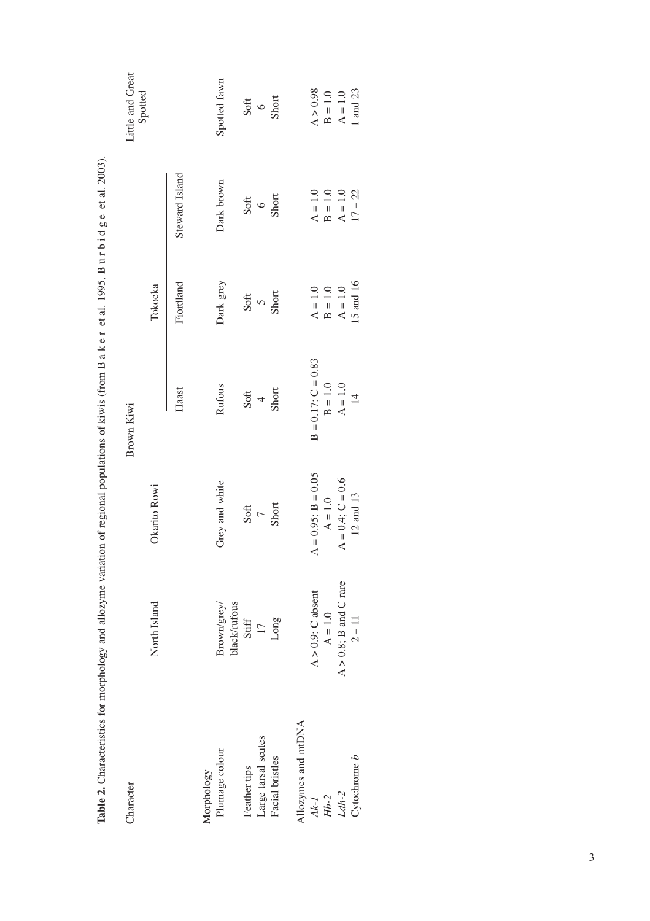| Character                                                               |                             |                         | Brown Kiwi              |            |                | Little and Great               |
|-------------------------------------------------------------------------|-----------------------------|-------------------------|-------------------------|------------|----------------|--------------------------------|
|                                                                         | North Island                | Okarito Rowi            |                         | Tokoeka    |                | Spotted                        |
|                                                                         |                             |                         | Haast                   | Fiordland  | Steward Island |                                |
| Aorphology                                                              |                             |                         |                         |            |                |                                |
| Plumage colour                                                          | Brown/grey/<br>black/rufous | Grey and white          | Rufous                  | Dark grey  | Dark brown     | Spotted fawn                   |
| Feather tips                                                            | Stiff                       | Soft                    | Soft                    | Soft       | Soft           |                                |
| Large tarsal scutes                                                     | $\overline{17}$             | $\overline{C}$          | $\overline{4}$          | $\sqrt{2}$ | $\circ$        | $\frac{\text{Soft}}{\text{6}}$ |
| Facial bristles                                                         | Long                        | Short                   | Short                   | Short      | Short          |                                |
| Allozymes and mtDNA                                                     |                             |                         |                         |            |                |                                |
|                                                                         | $A > 0.9$ ; C absent        | $A = 0.95$ ; $B = 0.05$ | $B = 0.17$ ; $C = 0.83$ | $A = 1.0$  | $A = 1.0$      | A > 0.98                       |
| $\begin{array}{c} Ak\text{-}I\\ Hb\text{-}2\\ Ldh\text{-}2 \end{array}$ | $A = 1.0$                   | $A = 1.0$               | $B = 1.0$               | $B = 1.0$  | $B = 1.0$      | $B = 1.0$                      |
|                                                                         | $A > 0.8$ ; B and C rare    | $A = 0.4; C = 0.6$      | $A = 1.0$               | $A = 1.0$  | $A = 1.0$      | $A = 1.0$                      |
| $C$ ytochrome $b$                                                       | $2 - 11$                    | $12$ and $13\,$         | $\overline{4}$          | 15 and 16  | $17 - 22$      | 1 and 23                       |

Table 2. Characteristics for morphology and allozyme variation of regional populations of kiwis (from B a k e r et al. 1995, B u r b i d g e et al. 2003). **Table 2.** Characteristics for morphology and allozyme variation of regional populations of kiwis (from B a k e r et al. 1995, B u r b i d g e et al. 2003).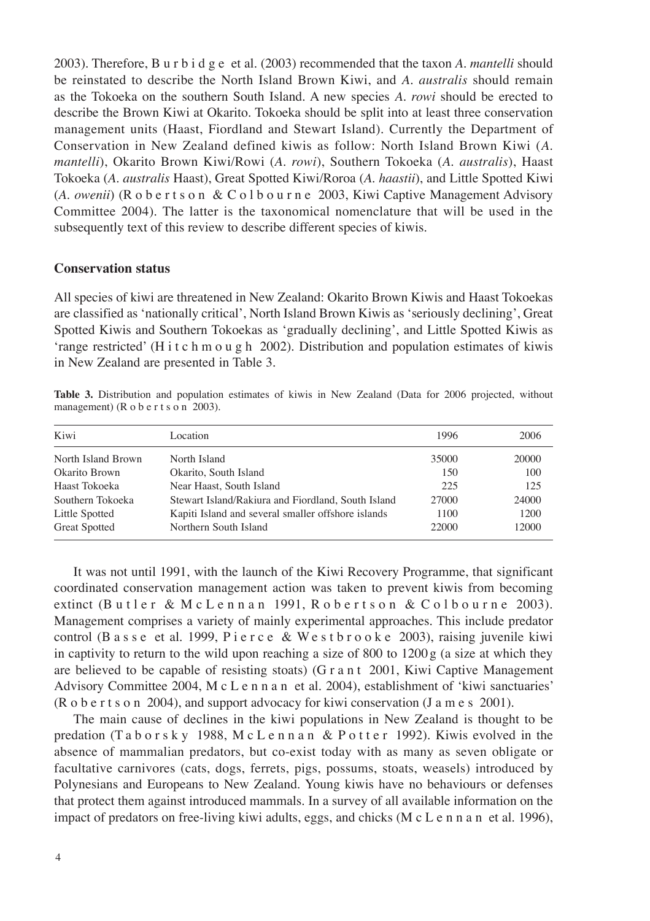2003). Therefore, B u r b i d g e et al. (2003) recommended that the taxon *A. mantelli* should be reinstated to describe the North Island Brown Kiwi, and *A. australis* should remain as the Tokoeka on the southern South Island. A new species *A. rowi* should be erected to describe the Brown Kiwi at Okarito. Tokoeka should be split into at least three conservation management units (Haast, Fiordland and Stewart Island). Currently the Department of Conservation in New Zealand defined kiwis as follow: North Island Brown Kiwi (*A. mantelli*), Okarito Brown Kiwi/Rowi (*A. rowi*), Southern Tokoeka (*A. australis*), Haast Tokoeka (*A. australis* Haast), Great Spotted Kiwi/Roroa (*A. haastii*), and Little Spotted Kiwi (*A. owenii*) (R o b e r t s o n & C o l b o u r n e 2003, Kiwi Captive Management Advisory Committee 2004). The latter is the taxonomical nomenclature that will be used in the subsequently text of this review to describe different species of kiwis.

## **Conservation status**

All species of kiwi are threatened in New Zealand: Okarito Brown Kiwis and Haast Tokoekas are classified as 'nationally critical', North Island Brown Kiwis as 'seriously declining', Great Spotted Kiwis and Southern Tokoekas as 'gradually declining', and Little Spotted Kiwis as 'range restricted' (H i t c h m o u g h 2002). Distribution and population estimates of kiwis in New Zealand are presented in Table 3.

**Table 3.** Distribution and population estimates of kiwis in New Zealand (Data for 2006 projected, without management) (R o b e r t s o n 2003).

| Kiwi                 | Location                                           | 1996  | 2006  |
|----------------------|----------------------------------------------------|-------|-------|
| North Island Brown   | North Island                                       | 35000 | 20000 |
| Okarito Brown        | Okarito, South Island                              | 150   | 100   |
| Haast Tokoeka        | Near Haast, South Island                           | 225   | 125   |
| Southern Tokoeka     | Stewart Island/Rakiura and Fiordland, South Island | 27000 | 24000 |
| Little Spotted       | Kapiti Island and several smaller offshore islands | 1100  | 1200  |
| <b>Great Spotted</b> | Northern South Island                              | 22000 | 12000 |

It was not until 1991, with the launch of the Kiwi Recovery Programme, that significant coordinated conservation management action was taken to prevent kiwis from becoming extinct (Butler & McLennan 1991, Robertson & Colbourne 2003). Management comprises a variety of mainly experimental approaches. This include predator control (Basse et al. 1999, Pierce & Westbrooke 2003), raising juvenile kiwi in captivity to return to the wild upon reaching a size of 800 to  $1200 g$  (a size at which they are believed to be capable of resisting stoats) (G r a n t 2001, Kiwi Captive Management Advisory Committee 2004, M c L e n n a n et al. 2004), establishment of 'kiwi sanctuaries' (R o b e r t s o n 2004), and support advocacy for kiwi conservation (J a m e s 2001).

The main cause of declines in the kiwi populations in New Zealand is thought to be predation (T a b o r s k y 1988, M c L e n n a n & P o t t e r 1992). Kiwis evolved in the absence of mammalian predators, but co-exist today with as many as seven obligate or facultative carnivores (cats, dogs, ferrets, pigs, possums, stoats, weasels) introduced by Polynesians and Europeans to New Zealand. Young kiwis have no behaviours or defenses that protect them against introduced mammals. In a survey of all available information on the impact of predators on free-living kiwi adults, eggs, and chicks (M c L e n n a n et al. 1996),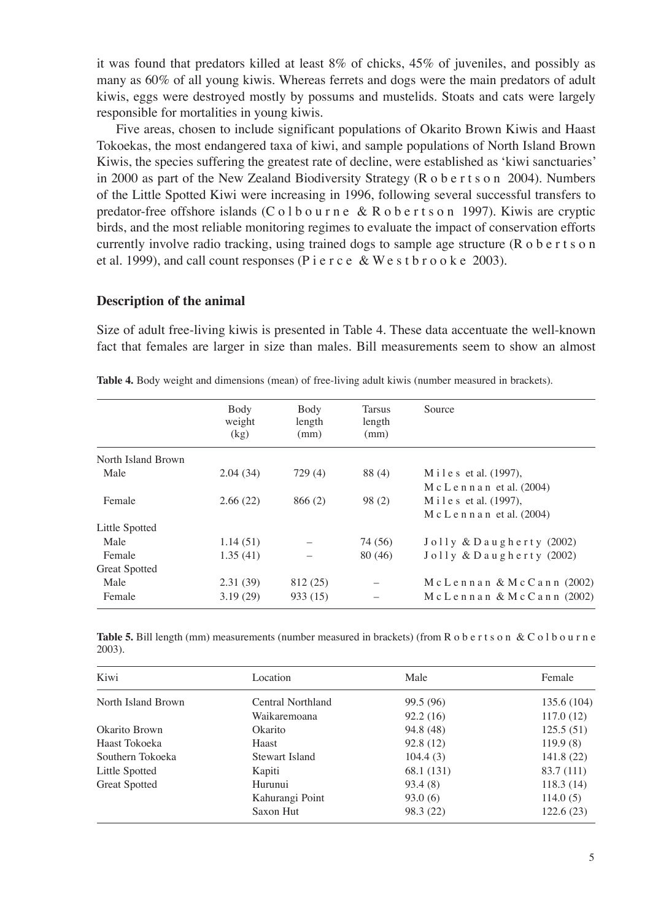it was found that predators killed at least 8% of chicks, 45% of juveniles, and possibly as many as 60% of all young kiwis. Whereas ferrets and dogs were the main predators of adult kiwis, eggs were destroyed mostly by possums and mustelids. Stoats and cats were largely responsible for mortalities in young kiwis.

Five areas, chosen to include significant populations of Okarito Brown Kiwis and Haast Tokoekas, the most endangered taxa of kiwi, and sample populations of North Island Brown Kiwis, the species suffering the greatest rate of decline, were established as 'kiwi sanctuaries' in 2000 as part of the New Zealand Biodiversity Strategy (R o b e r t s o n 2004). Numbers of the Little Spotted Kiwi were increasing in 1996, following several successful transfers to predator-free offshore islands (C o l b o u r n e & R o b e r t s o n 1997). Kiwis are cryptic birds, and the most reliable monitoring regimes to evaluate the impact of conservation efforts currently involve radio tracking, using trained dogs to sample age structure (R o b e r t s o n et al. 1999), and call count responses (P i e r c e & W e s t b r o o k e 2003).

### **Description of the animal**

Size of adult free-living kiwis is presented in Table 4. These data accentuate the well-known fact that females are larger in size than males. Bill measurements seem to show an almost

|                      | Body<br>weight | Body<br>length | <b>Tarsus</b><br>length | Source                          |
|----------------------|----------------|----------------|-------------------------|---------------------------------|
|                      | (kg)           | (mm)           | (mm)                    |                                 |
| North Island Brown   |                |                |                         |                                 |
| Male                 | 2.04(34)       | 729(4)         | 88 (4)                  | Miles et al. $(1997)$ ,         |
|                      |                |                |                         | $M c L e n n a n$ et al. (2004) |
| Female               | 2.66(22)       | 866(2)         | 98(2)                   | M i l e s et al. (1997),        |
|                      |                |                |                         | $M c L e n n a n$ et al. (2004) |
| Little Spotted       |                |                |                         |                                 |
| Male                 | 1.14(51)       |                | 74 (56)                 | $J$ olly & Daugherty (2002)     |
| Female               | 1.35(41)       |                | 80 (46)                 | $J$ olly & Daugherty (2002)     |
| <b>Great Spotted</b> |                |                |                         |                                 |
| Male                 | 2.31(39)       | 812 (25)       |                         | $Mc$ Lennan & McCann (2002)     |
| Female               | 3.19(29)       | 933 (15)       |                         | $Mc$ Lennan & McCann (2002)     |

**Table 4.** Body weight and dimensions (mean) of free-living adult kiwis (number measured in brackets).

**Table 5.** Bill length (mm) measurements (number measured in brackets) (from R o b e r t s o n & C o l b o u r n e 2003).

| Kiwi                 | Location          | Male       | Female      |
|----------------------|-------------------|------------|-------------|
| North Island Brown   | Central Northland | 99.5 (96)  | 135.6 (104) |
|                      | Waikaremoana      | 92.2(16)   | 117.0(12)   |
| Okarito Brown        | Okarito           | 94.8 (48)  | 125.5(51)   |
| Haast Tokoeka        | Haast             | 92.8(12)   | 119.9(8)    |
| Southern Tokoeka     | Stewart Island    | 104.4(3)   | 141.8(22)   |
| Little Spotted       | Kapiti            | 68.1 (131) | 83.7 (111)  |
| <b>Great Spotted</b> | Hurunui           | 93.4(8)    | 118.3(14)   |
|                      | Kahurangi Point   | 93.0(6)    | 114.0(5)    |
|                      | Saxon Hut         | 98.3 (22)  | 122.6(23)   |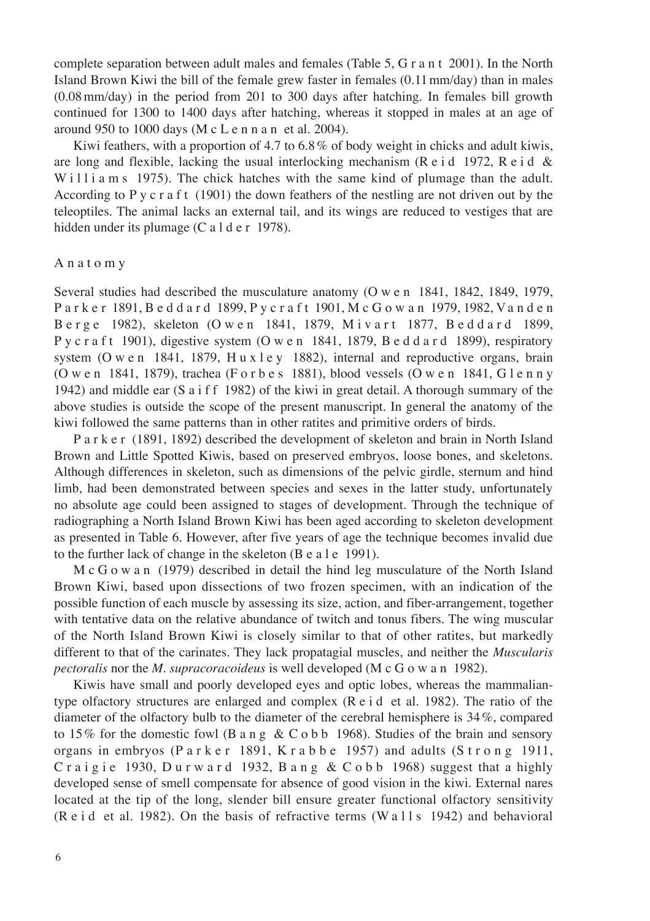complete separation between adult males and females (Table 5, G r a n t 2001). In the North Island Brown Kiwi the bill of the female grew faster in females (0.11 mm/day) than in males (0.08 mm/day) in the period from 201 to 300 days after hatching. In females bill growth continued for 1300 to 1400 days after hatching, whereas it stopped in males at an age of around 950 to 1000 days (M c L e n n a n et al. 2004).

Kiwi feathers, with a proportion of 4.7 to 6.8 % of body weight in chicks and adult kiwis, are long and flexible, lacking the usual interlocking mechanism ( $R$  e i d 1972,  $R$  e i d & W i l l i a m s 1975). The chick hatches with the same kind of plumage than the adult. According to P y c r a f t  $(1901)$  the down feathers of the nestling are not driven out by the teleoptiles. The animal lacks an external tail, and its wings are reduced to vestiges that are hidden under its plumage (C a l d e r 1978).

#### A n a t o m y

Several studies had described the musculature anatomy (O w e n 1841, 1842, 1849, 1979, P a r k e r 1891, B e d d a r d 1899, P y c r a f t 1901, M c G o w a n 1979, 1982, V a n d e n B e r g e 1982), skeleton (O w e n 1841, 1879, M i v a r t 1877, B e d d a r d 1899, P y c r a f t 1901), digestive system (O w e n 1841, 1879, B e d d a r d 1899), respiratory system (O w e n 1841, 1879, H u x l e y 1882), internal and reproductive organs, brain (O w e n 1841, 1879), trachea (F o r b e s 1881), blood vessels (O w e n 1841, G l e n n y 1942) and middle ear  $(S \text{ a if } f \text{ 1982})$  of the kiwi in great detail. A thorough summary of the above studies is outside the scope of the present manuscript. In general the anatomy of the kiwi followed the same patterns than in other ratites and primitive orders of birds.

P a r k e r (1891, 1892) described the development of skeleton and brain in North Island Brown and Little Spotted Kiwis, based on preserved embryos, loose bones, and skeletons. Although differences in skeleton, such as dimensions of the pelvic girdle, sternum and hind limb, had been demonstrated between species and sexes in the latter study, unfortunately no absolute age could been assigned to stages of development. Through the technique of radiographing a North Island Brown Kiwi has been aged according to skeleton development as presented in Table 6. However, after five years of age the technique becomes invalid due to the further lack of change in the skeleton (B e a l e 1991).

M c G o w a n (1979) described in detail the hind leg musculature of the North Island Brown Kiwi, based upon dissections of two frozen specimen, with an indication of the possible function of each muscle by assessing its size, action, and fiber-arrangement, together with tentative data on the relative abundance of twitch and tonus fibers. The wing muscular of the North Island Brown Kiwi is closely similar to that of other ratites, but markedly different to that of the carinates. They lack propatagial muscles, and neither the *Muscularis pectoralis* nor the *M. supracoracoideus* is well developed (M c G o w a n 1982).

Kiwis have small and poorly developed eyes and optic lobes, whereas the mammaliantype olfactory structures are enlarged and complex  $(R e i d e t a l. 1982)$ . The ratio of the diameter of the olfactory bulb to the diameter of the cerebral hemisphere is 34 %, compared to 15% for the domestic fowl (B a n g & C o b b 1968). Studies of the brain and sensory organs in embryos (P a r k e r 1891, K r a b b e 1957) and adults (S t r o n g 1911, C raigie 1930, Durward 1932, Bang & C obb 1968) suggest that a highly developed sense of smell compensate for absence of good vision in the kiwi. External nares located at the tip of the long, slender bill ensure greater functional olfactory sensitivity (R e i d et al. 1982). On the basis of refractive terms (W a  $11s$  1942) and behavioral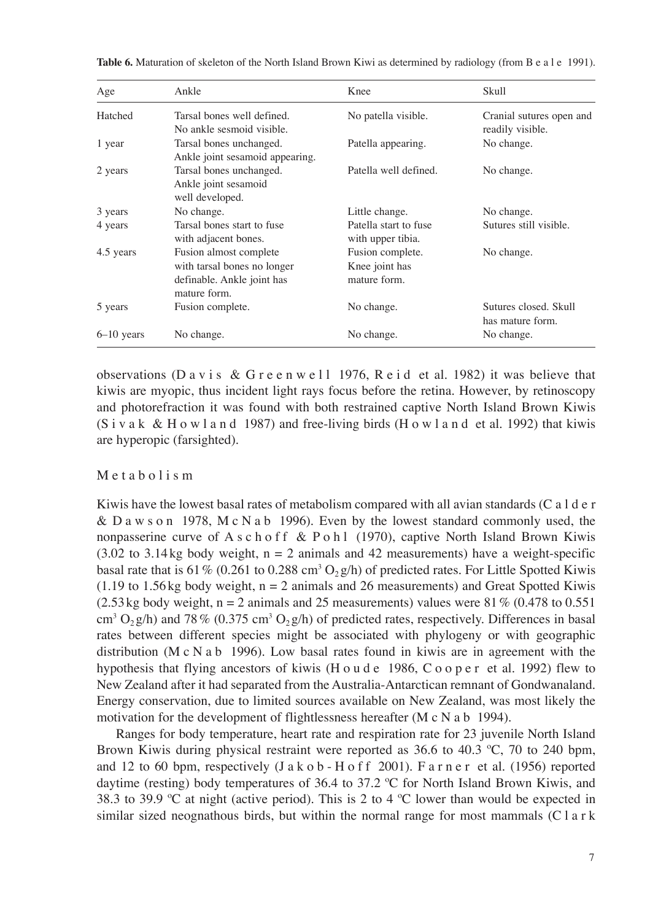| Age          | Ankle                                                                                               | Knee                                               | <b>Skull</b>                                 |
|--------------|-----------------------------------------------------------------------------------------------------|----------------------------------------------------|----------------------------------------------|
| Hatched      | Tarsal bones well defined.<br>No ankle sesmoid visible.                                             | No patella visible.                                | Cranial sutures open and<br>readily visible. |
| 1 year       | Tarsal bones unchanged.<br>Ankle joint sesamoid appearing.                                          | Patella appearing.                                 | No change.                                   |
| 2 years      | Tarsal bones unchanged.<br>Ankle joint sesamoid<br>well developed.                                  | Patella well defined.                              | No change.                                   |
| 3 years      | No change.                                                                                          | Little change.                                     | No change.                                   |
| 4 years      | Tarsal bones start to fuse<br>with adjacent bones.                                                  | Patella start to fuse<br>with upper tibia.         | Sutures still visible.                       |
| 4.5 years    | Fusion almost complete<br>with tarsal bones no longer<br>definable. Ankle joint has<br>mature form. | Fusion complete.<br>Knee joint has<br>mature form. | No change.                                   |
| 5 years      | Fusion complete.                                                                                    | No change.                                         | Sutures closed, Skull<br>has mature form.    |
| $6-10$ years | No change.                                                                                          | No change.                                         | No change.                                   |

**Table 6.** Maturation of skeleton of the North Island Brown Kiwi as determined by radiology (from B e a l e 1991).

observations (D a v i s & G r e e n w e l l 1976, R e i d et al. 1982) it was believe that kiwis are myopic, thus incident light rays focus before the retina. However, by retinoscopy and photorefraction it was found with both restrained captive North Island Brown Kiwis  $(S<sub>i</sub> v a k \& H o w l a n d 1987)$  and free-living birds (H o w l a n d et al. 1992) that kiwis are hyperopic (farsighted).

#### M e t a b o l i s m

Kiwis have the lowest basal rates of metabolism compared with all avian standards (C a  $1 d e r$ ) & D a w s o n 1978, M c N a b 1996). Even by the lowest standard commonly used, the nonpasserine curve of A s c h o f f & P o h l (1970), captive North Island Brown Kiwis  $(3.02 \text{ to } 3.14 \text{ kg}$  body weight,  $n = 2$  animals and 42 measurements) have a weight-specific basal rate that is 61 % (0.261 to 0.288 cm<sup>3</sup> O<sub>2</sub>g/h) of predicted rates. For Little Spotted Kiwis  $(1.19$  to 1.56 kg body weight,  $n = 2$  animals and 26 measurements) and Great Spotted Kiwis  $(2.53 \text{ kg}$  body weight, n = 2 animals and 25 measurements) values were 81 % (0.478 to 0.551 cm<sup>3</sup> O<sub>2</sub> g/h) and 78 % (0.375 cm<sup>3</sup> O<sub>2</sub> g/h) of predicted rates, respectively. Differences in basal rates between different species might be associated with phylogeny or with geographic distribution (M c N a b 1996). Low basal rates found in kiwis are in agreement with the hypothesis that flying ancestors of kiwis (H o u d e 1986, C o o p e r et al. 1992) flew to New Zealand after it had separated from the Australia-Antarctican remnant of Gondwanaland. Energy conservation, due to limited sources available on New Zealand, was most likely the motivation for the development of flightlessness hereafter (M c N a b 1994).

Ranges for body temperature, heart rate and respiration rate for 23 juvenile North Island Brown Kiwis during physical restraint were reported as 36.6 to 40.3 ºC, 70 to 240 bpm, and 12 to 60 bpm, respectively  $(Ja k o b - H o f f 2001)$ . Farner et al. (1956) reported daytime (resting) body temperatures of 36.4 to 37.2 ºC for North Island Brown Kiwis, and 38.3 to 39.9 ºC at night (active period). This is 2 to 4 ºC lower than would be expected in similar sized neognathous birds, but within the normal range for most mammals  $(C \mid a \rceil k)$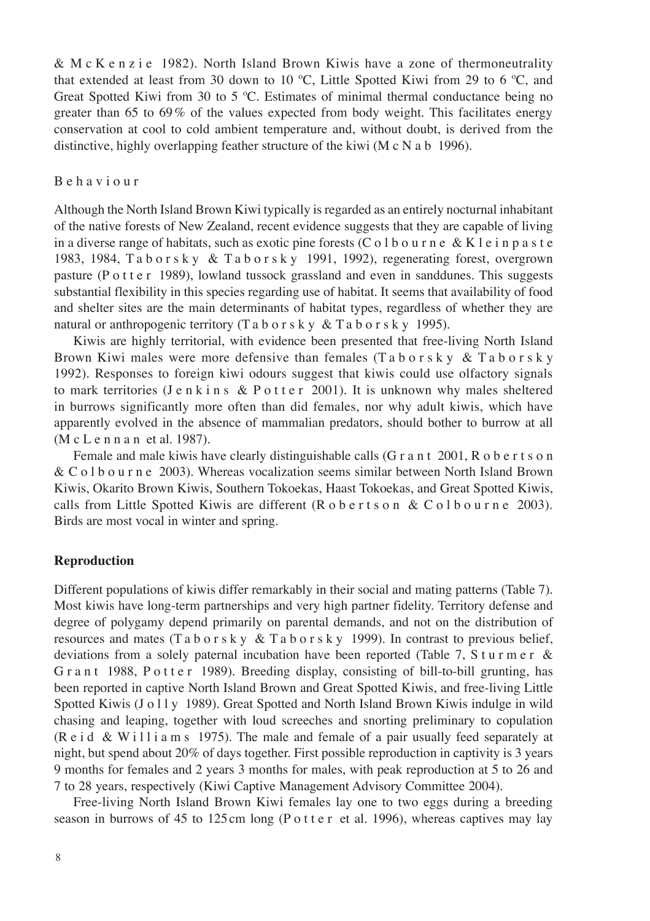& M c K e n z i e 1982). North Island Brown Kiwis have a zone of thermoneutrality that extended at least from 30 down to 10 ºC, Little Spotted Kiwi from 29 to 6 ºC, and Great Spotted Kiwi from 30 to 5 ºC. Estimates of minimal thermal conductance being no greater than 65 to 69 % of the values expected from body weight. This facilitates energy conservation at cool to cold ambient temperature and, without doubt, is derived from the distinctive, highly overlapping feather structure of the kiwi (M c N a b 1996).

## B e h a v i o u r

Although the North Island Brown Kiwi typically is regarded as an entirely nocturnal inhabitant of the native forests of New Zealand, recent evidence suggests that they are capable of living in a diverse range of habitats, such as exotic pine forests (C o l b o u r n e & K l e i n p a s t e 1983, 1984, T a b o r s k y & T a b o r s k y 1991, 1992), regenerating forest, overgrown pasture (P o t t e r 1989), lowland tussock grassland and even in sanddunes. This suggests substantial flexibility in this species regarding use of habitat. It seems that availability of food and shelter sites are the main determinants of habitat types, regardless of whether they are natural or anthropogenic territory (T a b o r s k y  $&$  T a b o r s k y 1995).

Kiwis are highly territorial, with evidence been presented that free-living North Island Brown Kiwi males were more defensive than females  $(Ta b o r s k y \& T a b o r s k y)$ 1992). Responses to foreign kiwi odours suggest that kiwis could use olfactory signals to mark territories (J e n k i n s & P o t t e r 2001). It is unknown why males sheltered in burrows significantly more often than did females, nor why adult kiwis, which have apparently evolved in the absence of mammalian predators, should bother to burrow at all (M c L e n n a n et al. 1987).

Female and male kiwis have clearly distinguishable calls (G r a n t 2001, R o b e r t s o n & C o l b o u r n e 2003). Whereas vocalization seems similar between North Island Brown Kiwis, Okarito Brown Kiwis, Southern Tokoekas, Haast Tokoekas, and Great Spotted Kiwis, calls from Little Spotted Kiwis are different  $(R \circ b \circ r \circ s \circ n \& C \circ l \circ b \circ u \circ n \circ 2003)$ . Birds are most vocal in winter and spring.

#### **Reproduction**

Different populations of kiwis differ remarkably in their social and mating patterns (Table 7). Most kiwis have long-term partnerships and very high partner fidelity. Territory defense and degree of polygamy depend primarily on parental demands, and not on the distribution of resources and mates (T a b o r s k y & T a b o r s k y 1999). In contrast to previous belief, deviations from a solely paternal incubation have been reported (Table 7, S t u r m e r & G r a n t 1988, P o t t e r 1989). Breeding display, consisting of bill-to-bill grunting, has been reported in captive North Island Brown and Great Spotted Kiwis, and free-living Little Spotted Kiwis (J o l l y 1989). Great Spotted and North Island Brown Kiwis indulge in wild chasing and leaping, together with loud screeches and snorting preliminary to copulation (R e i d & W i l l i a m s 1975). The male and female of a pair usually feed separately at night, but spend about 20% of days together. First possible reproduction in captivity is 3 years 9 months for females and 2 years 3 months for males, with peak reproduction at 5 to 26 and 7 to 28 years, respectively (Kiwi Captive Management Advisory Committee 2004).

Free-living North Island Brown Kiwi females lay one to two eggs during a breeding season in burrows of 45 to 125 cm long (P o t t e r et al. 1996), whereas captives may lay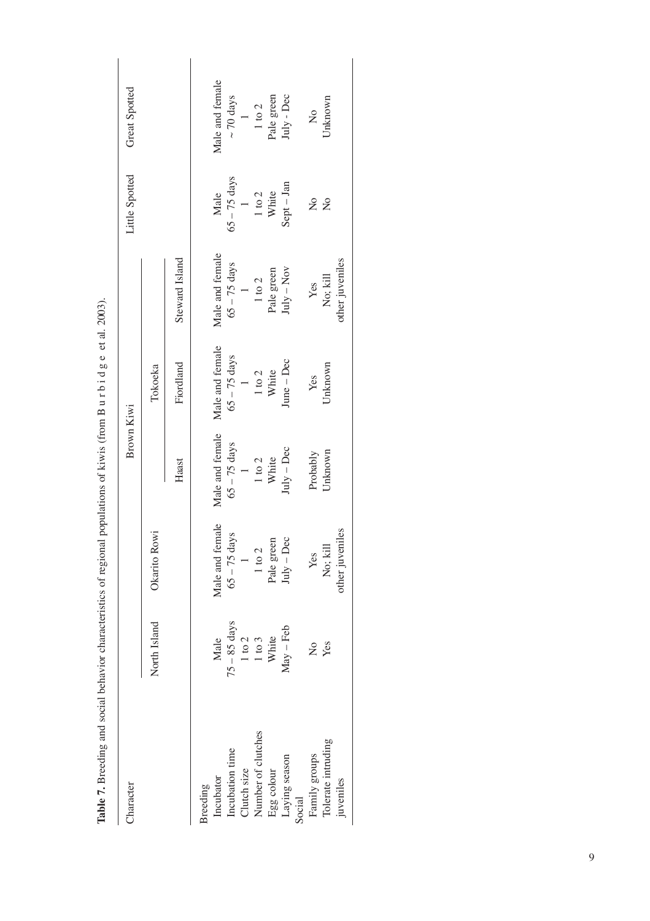Table 7. Breeding and social behavior characteristics of regional populations of kiwis (from B urbidge et al. 2003). **Table 7.** Breeding and social behavior characteristics of regional populations of kiwis (from B u r b i d g e et al. 2003).

|  | haracter |  |
|--|----------|--|
|  |          |  |

| Character                           |                |                 | Brown Kiwi                             |                    |                            | Little Spotted              | Great Spotted              |
|-------------------------------------|----------------|-----------------|----------------------------------------|--------------------|----------------------------|-----------------------------|----------------------------|
|                                     | North Island   | Okarito Rowi    |                                        | Tokoeka            |                            |                             |                            |
|                                     |                |                 | Haast                                  | Fiordland          | Steward Island             |                             |                            |
| <b>Sreeding</b>                     |                |                 |                                        |                    |                            |                             |                            |
| Incubator                           | Male           | Male and female | Male and female                        | Male and female    | Male and female            | Male                        | Male and female            |
|                                     | $75 - 85$ days | $65 - 75$ days  | $65 - 75$ days                         | $65 - 75$ days     | $65 - 75$ days             | $65 - 75 \text{ days}$<br>1 | $\sim 70~\mathrm{days}$    |
| Incubation time<br>Clutch size      | $1$ to $2$     |                 | $\overline{a}$                         | $\frac{1}{1}$ to 2 |                            |                             | $\overline{1}$             |
| Number of clutches                  | $1$ to $3$     | $1$ to $2$      | $\frac{1 \text{ to } 2}{\text{White}}$ |                    | $1$ to $2$                 | $1$ to $2$ White            | $1$ to $2$                 |
| Egg colour<br>Laying season         | White          | Pale green      |                                        | White              | Pale green                 |                             | Pale green                 |
| Social                              | $May - Feb$    | $luly - Dec$    | $Iuly - Dec$                           | $une - Dec$        | $\text{tuly} - \text{Nov}$ | sept - Jan                  | $\text{Iuly} - \text{Dec}$ |
|                                     | ż              | Yes             | Probably                               | Yes                | Yes                        | $\tilde{\mathsf{z}}$        | $\frac{1}{2}$              |
| Family groups<br>Tolerate intruding | Yes            | No; kill        | Jnknown                                | Jnknown            | No; kill                   | $\overline{a}$              | Jnknown                    |
| juveniles                           |                | other juveniles |                                        |                    | other juveniles            |                             |                            |
|                                     |                |                 |                                        |                    |                            |                             |                            |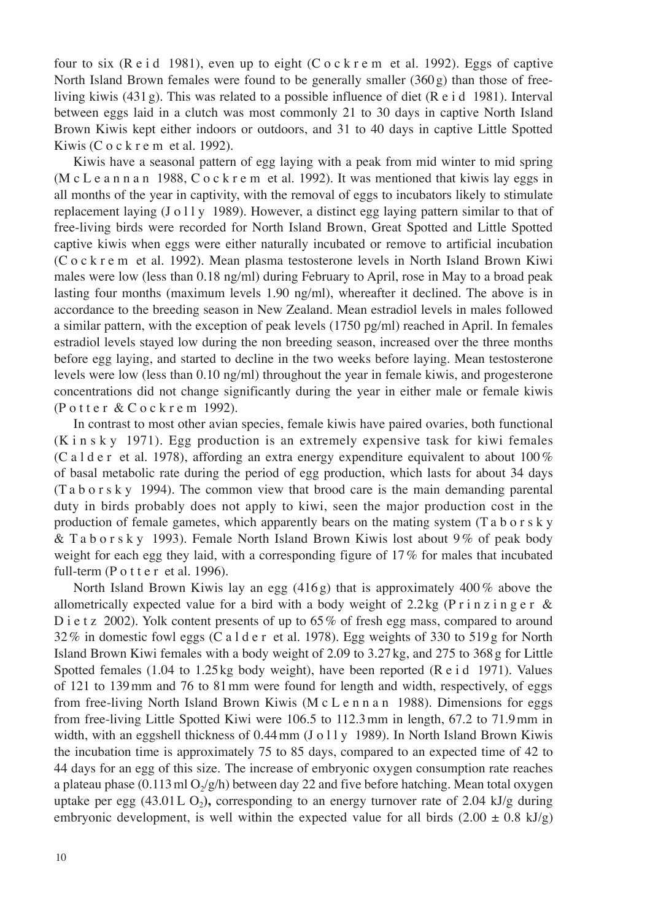four to six (R e i d 1981), even up to eight (C o c k r e m et al. 1992). Eggs of captive North Island Brown females were found to be generally smaller (360 g) than those of freeliving kiwis (431 g). This was related to a possible influence of diet (R e i d 1981). Interval between eggs laid in a clutch was most commonly 21 to 30 days in captive North Island Brown Kiwis kept either indoors or outdoors, and 31 to 40 days in captive Little Spotted Kiwis (C  $o$  c  $k$  r e m et al. 1992).

Kiwis have a seasonal pattern of egg laying with a peak from mid winter to mid spring (M c L e a n n a n 1988, C o c k r e m et al. 1992). It was mentioned that kiwis lay eggs in all months of the year in captivity, with the removal of eggs to incubators likely to stimulate replacement laying (J o 11 y 1989). However, a distinct egg laying pattern similar to that of free-living birds were recorded for North Island Brown, Great Spotted and Little Spotted captive kiwis when eggs were either naturally incubated or remove to artificial incubation (C o c k r e m et al. 1992). Mean plasma testosterone levels in North Island Brown Kiwi males were low (less than 0.18 ng/ml) during February to April, rose in May to a broad peak lasting four months (maximum levels 1.90 ng/ml), whereafter it declined. The above is in accordance to the breeding season in New Zealand. Mean estradiol levels in males followed a similar pattern, with the exception of peak levels (1750 pg/ml) reached in April. In females estradiol levels stayed low during the non breeding season, increased over the three months before egg laying, and started to decline in the two weeks before laying. Mean testosterone levels were low (less than 0.10 ng/ml) throughout the year in female kiwis, and progesterone concentrations did not change significantly during the year in either male or female kiwis (Potter & Cockrem 1992).

In contrast to most other avian species, female kiwis have paired ovaries, both functional (K i n s k y 1971). Egg production is an extremely expensive task for kiwi females (C a l d e r et al. 1978), affording an extra energy expenditure equivalent to about 100 % of basal metabolic rate during the period of egg production, which lasts for about 34 days (T a b o r s k y 1994). The common view that brood care is the main demanding parental duty in birds probably does not apply to kiwi, seen the major production cost in the production of female gametes, which apparently bears on the mating system (T a b o r s k y & T a b o r s k y 1993). Female North Island Brown Kiwis lost about 9 % of peak body weight for each egg they laid, with a corresponding figure of 17 % for males that incubated full-term ( $P$  o t t e r et al. 1996).

North Island Brown Kiwis lay an egg  $(416g)$  that is approximately 400% above the allometrically expected value for a bird with a body weight of  $2.2 \text{ kg}$  (P r i n z i n g e r & D i e t z 2002). Yolk content presents of up to 65% of fresh egg mass, compared to around 32 % in domestic fowl eggs (C a l d e r et al. 1978). Egg weights of 330 to 519 g for North Island Brown Kiwi females with a body weight of 2.09 to 3.27 kg, and 275 to 368 g for Little Spotted females (1.04 to 1.25 kg body weight), have been reported (R e i d 1971). Values of 121 to 139 mm and 76 to 81 mm were found for length and width, respectively, of eggs from free-living North Island Brown Kiwis (M c L e n n a n 1988). Dimensions for eggs from free-living Little Spotted Kiwi were 106.5 to 112.3 mm in length, 67.2 to 71.9 mm in width, with an eggshell thickness of 0.44 mm (J o l l y 1989). In North Island Brown Kiwis the incubation time is approximately 75 to 85 days, compared to an expected time of 42 to 44 days for an egg of this size. The increase of embryonic oxygen consumption rate reaches a plateau phase (0.113 ml  $O_2/g/h$ ) between day 22 and five before hatching. Mean total oxygen uptake per egg  $(43.01 L O<sub>2</sub>)$ , corresponding to an energy turnover rate of 2.04 kJ/g during embryonic development, is well within the expected value for all birds  $(2.00 \pm 0.8 \text{ kJ/g})$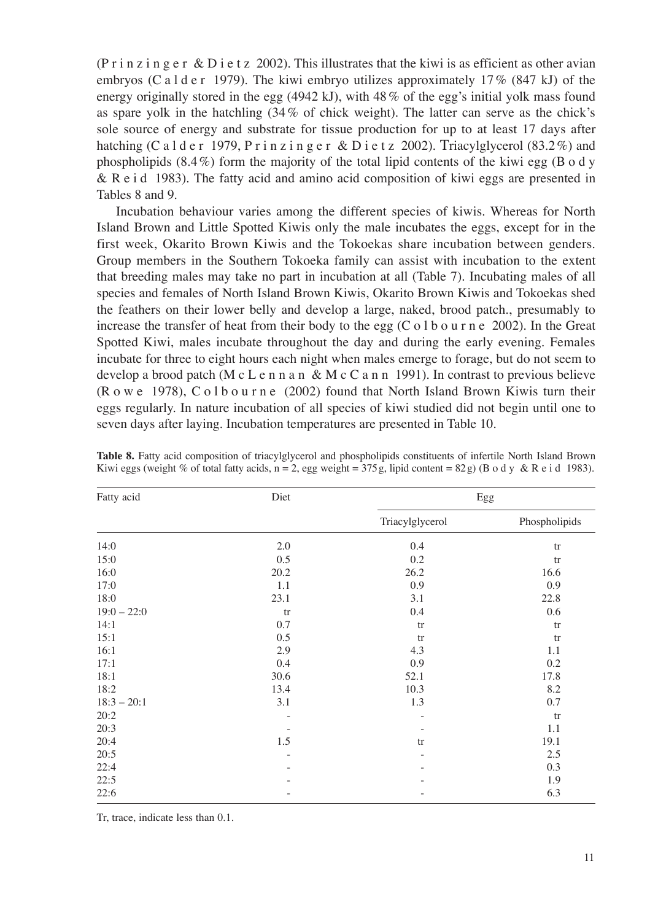(P r i n z i n g e r  $\&$  D i e t z 2002). This illustrates that the kiwi is as efficient as other avian embryos (C a l d e r 1979). The kiwi embryo utilizes approximately 17% (847 kJ) of the energy originally stored in the egg (4942 kJ), with  $48\%$  of the egg's initial yolk mass found as spare yolk in the hatchling (34 % of chick weight). The latter can serve as the chick's sole source of energy and substrate for tissue production for up to at least 17 days after hatching (C a l d e r 1979, P r i n z i n g e r & D i e t z 2002). Triacylglycerol  $(83.2\%)$  and phospholipids  $(8.4\%)$  form the majority of the total lipid contents of the kiwi egg  $(B \circ d y)$ & R e i d 1983). The fatty acid and amino acid composition of kiwi eggs are presented in Tables 8 and 9.

Incubation behaviour varies among the different species of kiwis. Whereas for North Island Brown and Little Spotted Kiwis only the male incubates the eggs, except for in the first week, Okarito Brown Kiwis and the Tokoekas share incubation between genders. Group members in the Southern Tokoeka family can assist with incubation to the extent that breeding males may take no part in incubation at all (Table 7). Incubating males of all species and females of North Island Brown Kiwis, Okarito Brown Kiwis and Tokoekas shed the feathers on their lower belly and develop a large, naked, brood patch., presumably to increase the transfer of heat from their body to the egg (C o l b o u r n e 2002). In the Great Spotted Kiwi, males incubate throughout the day and during the early evening. Females incubate for three to eight hours each night when males emerge to forage, but do not seem to develop a brood patch (M c L e n n a n & M c C a n n 1991). In contrast to previous believe (R o w e 1978), C o l b o u r n e (2002) found that North Island Brown Kiwis turn their eggs regularly. In nature incubation of all species of kiwi studied did not begin until one to seven days after laying. Incubation temperatures are presented in Table 10.

| Fatty acid    | Diet |                 | Egg           |
|---------------|------|-----------------|---------------|
|               |      | Triacylglycerol | Phospholipids |
| 14:0          | 2.0  | 0.4             | tr            |
| 15:0          | 0.5  | 0.2             | tr            |
| 16:0          | 20.2 | 26.2            | 16.6          |
| 17:0          | 1.1  | 0.9             | 0.9           |
| 18:0          | 23.1 | 3.1             | 22.8          |
| $19:0 - 22:0$ | tr   | 0.4             | 0.6           |
| 14:1          | 0.7  | tr              | tr            |
| 15:1          | 0.5  | tr              | tr            |
| 16:1          | 2.9  | 4.3             | 1.1           |
| 17:1          | 0.4  | 0.9             | 0.2           |
| 18:1          | 30.6 | 52.1            | 17.8          |
| 18:2          | 13.4 | 10.3            | 8.2           |
| $18:3 - 20:1$ | 3.1  | 1.3             | 0.7           |
| 20:2          |      |                 | tr            |
| 20:3          |      |                 | 1.1           |
| 20:4          | 1.5  | tr              | 19.1          |
| 20:5          |      |                 | 2.5           |
| 22:4          |      |                 | 0.3           |
| 22:5          |      |                 | 1.9           |
| 22:6          |      |                 | 6.3           |

**Table 8.** Fatty acid composition of triacylglycerol and phospholipids constituents of infertile North Island Brown Kiwi eggs (weight % of total fatty acids,  $n = 2$ , egg weight = 375 g, lipid content = 82 g) (B o d y & R e i d 1983).

Tr, trace, indicate less than 0.1.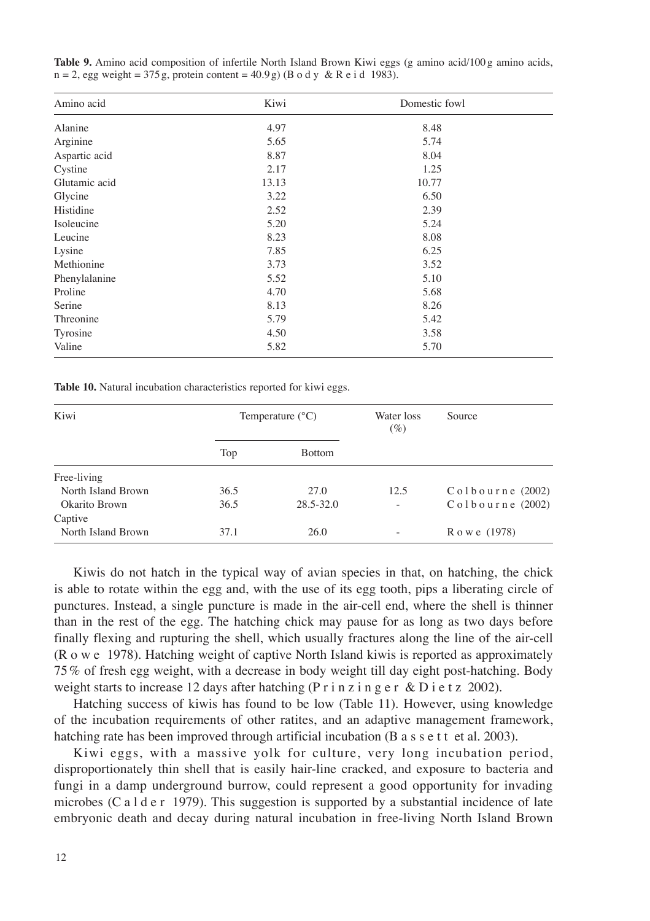| Amino acid    | Kiwi  | Domestic fowl |  |
|---------------|-------|---------------|--|
| Alanine       | 4.97  | 8.48          |  |
| Arginine      | 5.65  | 5.74          |  |
| Aspartic acid | 8.87  | 8.04          |  |
| Cystine       | 2.17  | 1.25          |  |
| Glutamic acid | 13.13 | 10.77         |  |
| Glycine       | 3.22  | 6.50          |  |
| Histidine     | 2.52  | 2.39          |  |
| Isoleucine    | 5.20  | 5.24          |  |
| Leucine       | 8.23  | 8.08          |  |
| Lysine        | 7.85  | 6.25          |  |
| Methionine    | 3.73  | 3.52          |  |
| Phenylalanine | 5.52  | 5.10          |  |
| Proline       | 4.70  | 5.68          |  |
| Serine        | 8.13  | 8.26          |  |
| Threonine     | 5.79  | 5.42          |  |
| Tyrosine      | 4.50  | 3.58          |  |
| Valine        | 5.82  | 5.70          |  |

**Table 9.** Amino acid composition of infertile North Island Brown Kiwi eggs (g amino acid/100 g amino acids,  $n = 2$ , egg weight = 375 g, protein content = 40.9 g) (B o d y & R e i d 1983).

**Table 10.** Natural incubation characteristics reported for kiwi eggs.

| Kiwi               | Temperature $(^{\circ}C)$ |               | Water loss<br>$(\%)$ | Source                     |
|--------------------|---------------------------|---------------|----------------------|----------------------------|
|                    | Top                       | <b>Bottom</b> |                      |                            |
| Free-living        |                           |               |                      |                            |
| North Island Brown | 36.5                      | 27.0          | 12.5                 | $C_0 1 b_0 u r n e$ (2002) |
| Okarito Brown      | 36.5                      | 28.5-32.0     | $\qquad \qquad -$    | $C_0 1 b_0 u r n e$ (2002) |
| Captive            |                           |               |                      |                            |
| North Island Brown | 37.1                      | 26.0          | -                    | R o w e (1978)             |

Kiwis do not hatch in the typical way of avian species in that, on hatching, the chick is able to rotate within the egg and, with the use of its egg tooth, pips a liberating circle of punctures. Instead, a single puncture is made in the air-cell end, where the shell is thinner than in the rest of the egg. The hatching chick may pause for as long as two days before finally flexing and rupturing the shell, which usually fractures along the line of the air-cell (R o w e 1978). Hatching weight of captive North Island kiwis is reported as approximately 75 % of fresh egg weight, with a decrease in body weight till day eight post-hatching. Body weight starts to increase 12 days after hatching (P r i n z i n g e r & D i e t z 2002).

Hatching success of kiwis has found to be low (Table 11). However, using knowledge of the incubation requirements of other ratites, and an adaptive management framework, hatching rate has been improved through artificial incubation (B a s s e t t et al. 2003).

Kiwi eggs, with a massive yolk for culture, very long incubation period, disproportionately thin shell that is easily hair-line cracked, and exposure to bacteria and fungi in a damp underground burrow, could represent a good opportunity for invading microbes (C a l d e r 1979). This suggestion is supported by a substantial incidence of late embryonic death and decay during natural incubation in free-living North Island Brown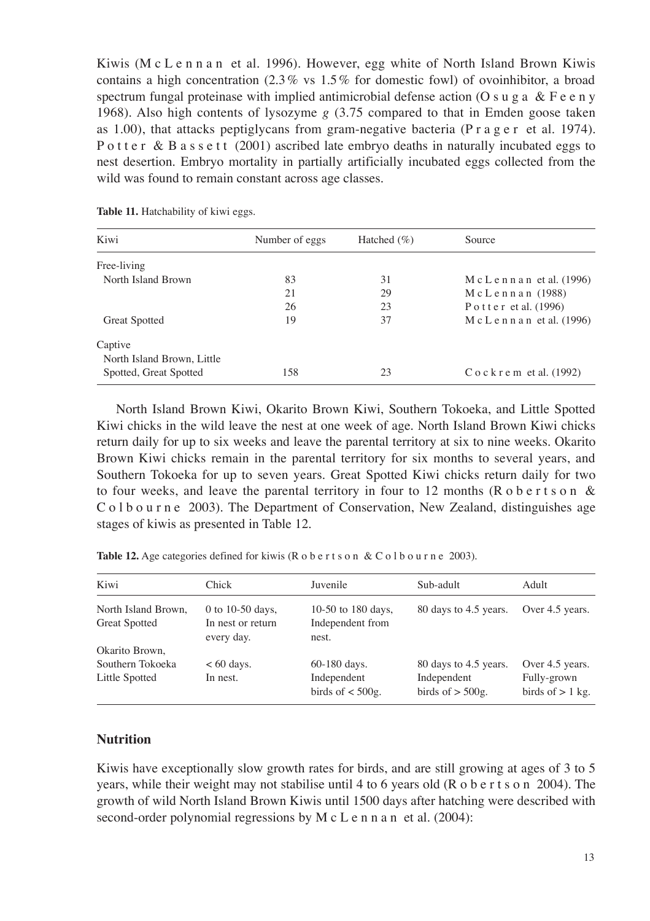Kiwis (M c L e n n a n et al. 1996). However, egg white of North Island Brown Kiwis contains a high concentration  $(2.3\% \text{ vs } 1.5\% \text{ for domestic fowl})$  of ovoinhibitor, a broad spectrum fungal proteinase with implied antimicrobial defense action (O s u g a  $\&$  F e e n y 1968). Also high contents of lysozyme *g* (3.75 compared to that in Emden goose taken as 1.00), that attacks peptiglycans from gram-negative bacteria (P  $r$  a g  $e r$  et al. 1974). P o t t e r & B a s s e t t  $(2001)$  ascribed late embryo deaths in naturally incubated eggs to nest desertion. Embryo mortality in partially artificially incubated eggs collected from the wild was found to remain constant across age classes.

| Kiwi                       | Number of eggs | Hatched $(\% )$ | Source                          |
|----------------------------|----------------|-----------------|---------------------------------|
| Free-living                |                |                 |                                 |
| North Island Brown         | 83             | 31              | $M c L e n n a n$ et al. (1996) |
|                            | 21             | 29              | $Mc$ Lennan (1988)              |
|                            | 26             | 23              | Potter et al. $(1996)$          |
| <b>Great Spotted</b>       | 19             | 37              | $M c L e n n a n$ et al. (1996) |
| Captive                    |                |                 |                                 |
| North Island Brown, Little |                |                 |                                 |
| Spotted, Great Spotted     | 158            | 23              | $C$ o c $k$ r e m et al. (1992) |
|                            |                |                 |                                 |

**Table 11.** Hatchability of kiwi eggs.

North Island Brown Kiwi, Okarito Brown Kiwi, Southern Tokoeka, and Little Spotted Kiwi chicks in the wild leave the nest at one week of age. North Island Brown Kiwi chicks return daily for up to six weeks and leave the parental territory at six to nine weeks. Okarito Brown Kiwi chicks remain in the parental territory for six months to several years, and Southern Tokoeka for up to seven years. Great Spotted Kiwi chicks return daily for two to four weeks, and leave the parental territory in four to 12 months (R o b e r t s o n  $\&$ C o l b o u r n e 2003). The Department of Conservation, New Zealand, distinguishes age stages of kiwis as presented in Table 12.

Table 12. Age categories defined for kiwis (R o b e r t s o n & C o l b o u r n e 2003).

| Kiwi                                                 | Chick                                               | Juvenile                                          | Sub-adult                                                  | Adult                                                |
|------------------------------------------------------|-----------------------------------------------------|---------------------------------------------------|------------------------------------------------------------|------------------------------------------------------|
| North Island Brown,<br><b>Great Spotted</b>          | 0 to 10-50 days,<br>In nest or return<br>every day. | 10-50 to 180 days,<br>Independent from<br>nest.   | 80 days to 4.5 years.                                      | Over 4.5 years.                                      |
| Okarito Brown,<br>Southern Tokoeka<br>Little Spotted | $< 60$ days.<br>In nest.                            | 60-180 days.<br>Independent<br>birds of $<$ 500g. | 80 days to 4.5 years.<br>Independent<br>birds of $>$ 500g. | Over 4.5 years.<br>Fully-grown<br>birds of $> 1$ kg. |

# **Nutrition**

Kiwis have exceptionally slow growth rates for birds, and are still growing at ages of 3 to 5 years, while their weight may not stabilise until 4 to 6 years old (R o b e r t s o n 2004). The growth of wild North Island Brown Kiwis until 1500 days after hatching were described with second-order polynomial regressions by M c L e n n a n et al. (2004):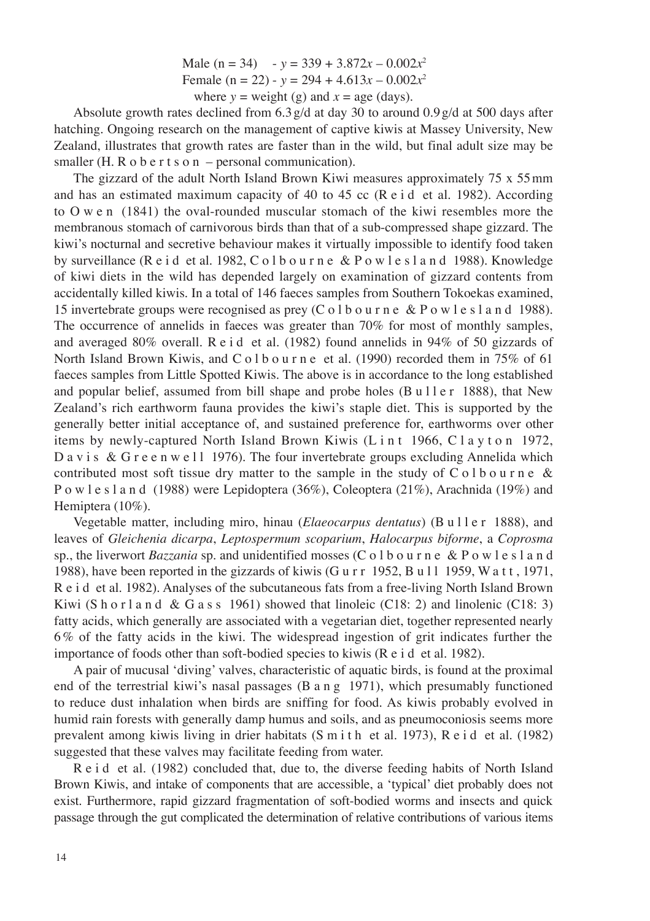Male (n = 34)  $-y = 339 + 3.872x - 0.002x^2$ Female ( $n = 22$ ) -  $y = 294 + 4.613x - 0.002x^2$ where  $y =$  weight (g) and  $x =$  age (days).

Absolute growth rates declined from 6.3 g/d at day 30 to around 0.9 g/d at 500 days after hatching. Ongoing research on the management of captive kiwis at Massey University, New Zealand, illustrates that growth rates are faster than in the wild, but final adult size may be smaller (H. R  $o$  b e r t s  $o$  n – personal communication).

The gizzard of the adult North Island Brown Kiwi measures approximately 75 x 55 mm and has an estimated maximum capacity of 40 to 45 cc (R e i d et al. 1982). According to O w e n (1841) the oval-rounded muscular stomach of the kiwi resembles more the membranous stomach of carnivorous birds than that of a sub-compressed shape gizzard. The kiwi's nocturnal and secretive behaviour makes it virtually impossible to identify food taken by surveillance (R e i d et al. 1982, C o l b o u r n e & P o w l e s l a n d 1988). Knowledge of kiwi diets in the wild has depended largely on examination of gizzard contents from accidentally killed kiwis. In a total of 146 faeces samples from Southern Tokoekas examined, 15 invertebrate groups were recognised as prey (C o l b o u r n e & P o w l e s l a n d 1988). The occurrence of annelids in faeces was greater than 70% for most of monthly samples, and averaged 80% overall. R e i d et al. (1982) found annelids in 94% of 50 gizzards of North Island Brown Kiwis, and  $C_0$  l b o u r n e et al. (1990) recorded them in 75% of 61 faeces samples from Little Spotted Kiwis. The above is in accordance to the long established and popular belief, assumed from bill shape and probe holes  $(B \text{ u} 11 \text{ e r} 1888)$ , that New Zealand's rich earthworm fauna provides the kiwi's staple diet. This is supported by the generally better initial acceptance of, and sustained preference for, earthworms over other items by newly-captured North Island Brown Kiwis (L i n t 1966, C l a y t o n 1972, D a v i s & G r e e n w e 11 1976). The four invertebrate groups excluding Annelida which contributed most soft tissue dry matter to the sample in the study of  $C \circ 1$  b o u r n e & P o w l e s l a n d (1988) were Lepidoptera (36%), Coleoptera (21%), Arachnida (19%) and Hemiptera (10%).

Vegetable matter, including miro, hinau (*Elaeocarpus dentatus*) (B u l l e r 1888), and leaves of *Gleichenia dicarpa*, *Leptospermum scoparium*, *Halocarpus biforme*, a *Coprosma* sp., the liverwort *Bazzania* sp. and unidentified mosses (C o l b o u r n e & P o w l e s l a n d 1988), have been reported in the gizzards of kiwis (G u r r  $1952$ , B u l 1 1959, W a t t, 1971, R e i d et al. 1982). Analyses of the subcutaneous fats from a free-living North Island Brown Kiwi (S h o r l a n d & G a s s 1961) showed that linoleic (C18: 2) and linolenic (C18: 3) fatty acids, which generally are associated with a vegetarian diet, together represented nearly 6 % of the fatty acids in the kiwi. The widespread ingestion of grit indicates further the importance of foods other than soft-bodied species to kiwis (R e i d et al. 1982).

A pair of mucusal 'diving' valves, characteristic of aquatic birds, is found at the proximal end of the terrestrial kiwi's nasal passages (B a n g 1971), which presumably functioned to reduce dust inhalation when birds are sniffing for food. As kiwis probably evolved in humid rain forests with generally damp humus and soils, and as pneumoconiosis seems more prevalent among kiwis living in drier habitats (S m i t h et al. 1973), R e i d et al. (1982) suggested that these valves may facilitate feeding from water.

R e i d et al. (1982) concluded that, due to, the diverse feeding habits of North Island Brown Kiwis, and intake of components that are accessible, a 'typical' diet probably does not exist. Furthermore, rapid gizzard fragmentation of soft-bodied worms and insects and quick passage through the gut complicated the determination of relative contributions of various items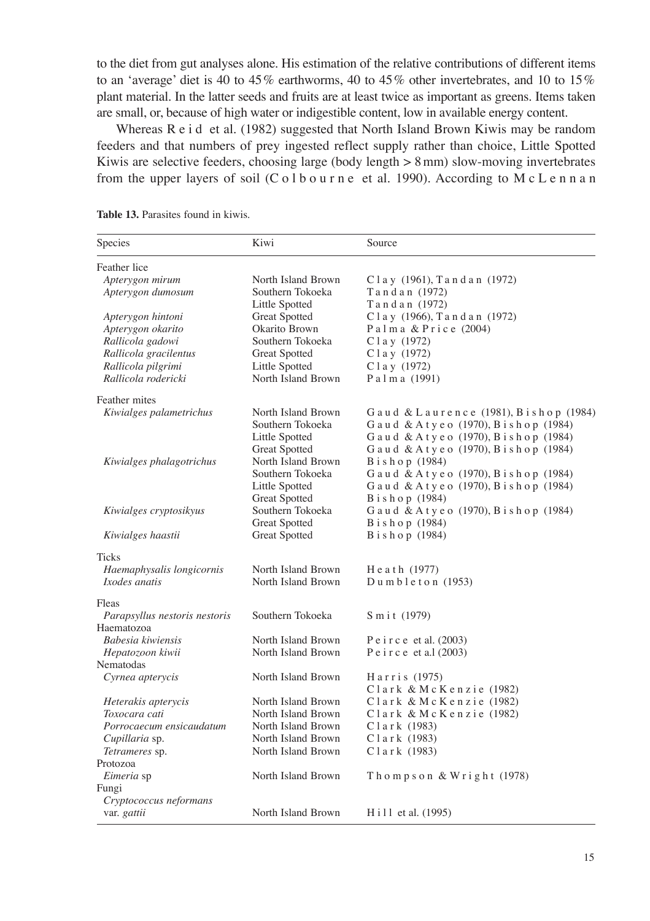to the diet from gut analyses alone. His estimation of the relative contributions of different items to an 'average' diet is 40 to 45 % earthworms, 40 to 45 % other invertebrates, and 10 to 15 % plant material. In the latter seeds and fruits are at least twice as important as greens. Items taken are small, or, because of high water or indigestible content, low in available energy content.

Whereas R e i d et al. (1982) suggested that North Island Brown Kiwis may be random feeders and that numbers of prey ingested reflect supply rather than choice, Little Spotted Kiwis are selective feeders, choosing large (body length  $> 8$  mm) slow-moving invertebrates from the upper layers of soil (C o l b o u r n e et al. 1990). According to M c L e n n a n

| Species                       | Kiwi                 | Source                                |
|-------------------------------|----------------------|---------------------------------------|
| Feather lice                  |                      |                                       |
| Apterygon mirum               | North Island Brown   | Clay (1961), Tandan (1972)            |
| Apterygon dumosum             | Southern Tokoeka     | Tandan (1972)                         |
|                               | Little Spotted       | Tandan (1972)                         |
| Apterygon hintoni             | <b>Great Spotted</b> | Clay (1966), Tandan (1972)            |
| Apterygon okarito             | Okarito Brown        | Palma & Price (2004)                  |
| Rallicola gadowi              | Southern Tokoeka     | C l a y (1972)                        |
| Rallicola gracilentus         | Great Spotted        | C l a y (1972)                        |
| Rallicola pilgrimi            | Little Spotted       | $C1a$ y (1972)                        |
| Rallicola rodericki           | North Island Brown   | Palma (1991)                          |
| Feather mites                 |                      |                                       |
| Kiwialges palametrichus       | North Island Brown   | Gaud & Laurence (1981), Bishop (1984) |
|                               | Southern Tokoeka     | Gaud & Atyeo (1970), Bishop (1984)    |
|                               | Little Spotted       | Gaud & Atyeo (1970), Bishop (1984)    |
|                               | <b>Great Spotted</b> | Gaud & Atyeo (1970), Bishop (1984)    |
| Kiwialges phalagotrichus      | North Island Brown   | Bishop (1984)                         |
|                               | Southern Tokoeka     | Gaud & Atyeo (1970), Bishop (1984)    |
|                               | Little Spotted       | Gaud & Atyeo (1970), Bishop (1984)    |
|                               | <b>Great Spotted</b> | Bishop (1984)                         |
| Kiwialges cryptosikyus        | Southern Tokoeka     | Gaud & Atyeo (1970), Bishop (1984)    |
|                               | <b>Great Spotted</b> | Bishop (1984)                         |
| Kiwialges haastii             | Great Spotted        | Bishop (1984)                         |
| Ticks                         |                      |                                       |
| Haemaphysalis longicornis     | North Island Brown   | Heath (1977)                          |
| Ixodes anatis                 | North Island Brown   | Dumbleton (1953)                      |
| Fleas                         |                      |                                       |
| Parapsyllus nestoris nestoris | Southern Tokoeka     | Smit (1979)                           |
| Haematozoa                    |                      |                                       |
| Babesia kiwiensis             | North Island Brown   | $P \text{e}$ i r c e et al. (2003)    |
| Hepatozoon kiwii              | North Island Brown   | Peirce et a.1 (2003)                  |
| Nematodas                     |                      |                                       |
| Cyrnea apterycis              | North Island Brown   | Harris (1975)                         |
|                               |                      | Clark & McKenzie (1982)               |
| Heterakis apterycis           | North Island Brown   | Clark & McKenzie (1982)               |
| Toxocara cati                 | North Island Brown   | Clark & McKenzie (1982)               |
| Porrocaecum ensicaudatum      | North Island Brown   | Clark (1983)                          |
| Cupillaria sp.                | North Island Brown   | Clark (1983)                          |
| Tetrameres sp.                | North Island Brown   | Clark (1983)                          |
| Protozoa                      |                      |                                       |
| Eimeria sp                    | North Island Brown   | Thompson & Wright (1978)              |
| Fungi                         |                      |                                       |
| Cryptococcus neformans        |                      |                                       |
| var. gattii                   | North Island Brown   | H i 11 et al. (1995)                  |
|                               |                      |                                       |

**Table 13.** Parasites found in kiwis.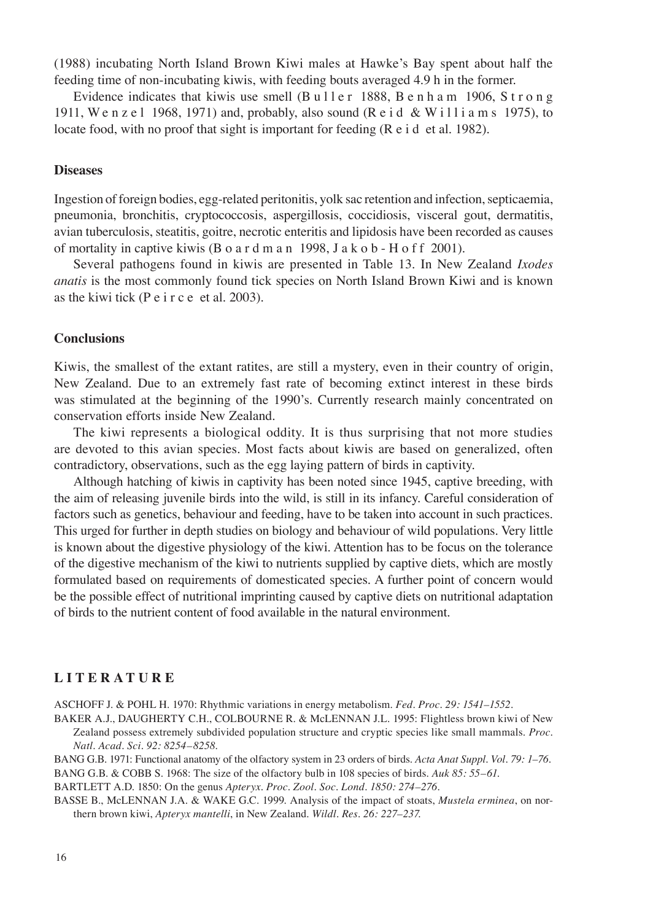(1988) incubating North Island Brown Kiwi males at Hawke's Bay spent about half the feeding time of non-incubating kiwis, with feeding bouts averaged 4.9 h in the former.

Evidence indicates that kiwis use smell  $(B \, u \, l \, l \, e \, r \, l \, s \, s \, s \, e \, n \, h \, a \, m \, l \, l \, l \, o \, n \, g$ 1911, Wenzel 1968, 1971) and, probably, also sound (R e i d & Williams 1975), to locate food, with no proof that sight is important for feeding (R e i d et al. 1982).

#### **Diseases**

Ingestion of foreign bodies, egg-related peritonitis, yolk sac retention and infection, septicaemia, pneumonia, bronchitis, cryptococcosis, aspergillosis, coccidiosis, visceral gout, dermatitis, avian tuberculosis, steatitis, goitre, necrotic enteritis and lipidosis have been recorded as causes of mortality in captive kiwis (B o a r d m a n 1998, J a k o b - H o f f 2001).

Several pathogens found in kiwis are presented in Table 13. In New Zealand *Ixodes anatis* is the most commonly found tick species on North Island Brown Kiwi and is known as the kiwi tick (P e i r c e et al. 2003).

## **Conclusions**

Kiwis, the smallest of the extant ratites, are still a mystery, even in their country of origin, New Zealand. Due to an extremely fast rate of becoming extinct interest in these birds was stimulated at the beginning of the 1990's. Currently research mainly concentrated on conservation efforts inside New Zealand.

The kiwi represents a biological oddity. It is thus surprising that not more studies are devoted to this avian species. Most facts about kiwis are based on generalized, often contradictory, observations, such as the egg laying pattern of birds in captivity.

Although hatching of kiwis in captivity has been noted since 1945, captive breeding, with the aim of releasing juvenile birds into the wild, is still in its infancy. Careful consideration of factors such as genetics, behaviour and feeding, have to be taken into account in such practices. This urged for further in depth studies on biology and behaviour of wild populations. Very little is known about the digestive physiology of the kiwi. Attention has to be focus on the tolerance of the digestive mechanism of the kiwi to nutrients supplied by captive diets, which are mostly formulated based on requirements of domesticated species. A further point of concern would be the possible effect of nutritional imprinting caused by captive diets on nutritional adaptation of birds to the nutrient content of food available in the natural environment.

#### **L I T E R A T U R E**

ASCHOFF J. & POHL H. 1970: Rhythmic variations in energy metabolism. *Fed. Proc. 29: 1541–1552.*

BAKER A.J., DAUGHERTY C.H., COLBOURNE R. & McLENNAN J.L. 1995: Flightless brown kiwi of New Zealand possess extremely subdivided population structure and cryptic species like small mammals. *Proc. Natl. Acad. Sci. 92: 8254–8258*.

BANG G.B. 1971: Functional anatomy of the olfactory system in 23 orders of birds. *Acta Anat Suppl. Vol. 79: 1–76.* BANG G.B. & COBB S. 1968: The size of the olfactory bulb in 108 species of birds. *Auk 85: 55–61.*

BARTLETT A.D. 1850: On the genus *Apteryx*. *Proc. Zool. Soc. Lond. 1850: 274–276.*

BASSE B., McLENNAN J.A. & WAKE G.C. 1999. Analysis of the impact of stoats, *Mustela erminea*, on northern brown kiwi, *Apteryx mantelli*, in New Zealand. *Wildl. Res. 26: 227–237*.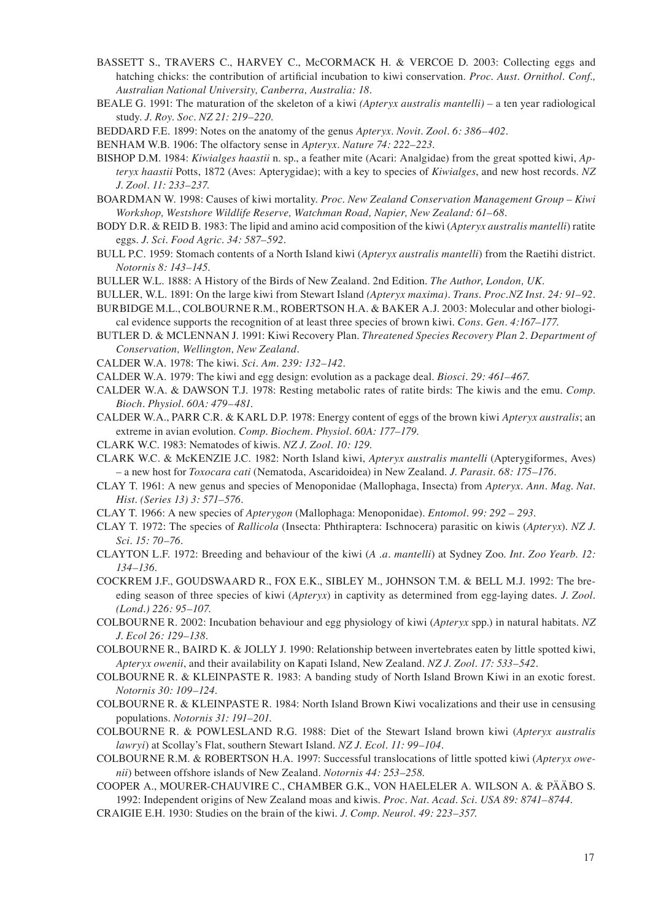- BASSETT S., TRAVERS C., HARVEY C., McCORMACK H. & VERCOE D. 2003: Collecting eggs and hatching chicks: the contribution of artificial incubation to kiwi conservation. *Proc. Aust. Ornithol. Conf., Australian National University, Canberra, Australia: 18.*
- BEALE G. 1991: The maturation of the skeleton of a kiwi *(Apteryx australis mantelli)*  a ten year radiological study. *J. Roy. Soc. NZ 21: 219–220.*
- BEDDARD F.E. 1899: Notes on the anatomy of the genus *Apteryx*. *Novit. Zool. 6: 386–402.*

BENHAM W.B. 1906: The olfactory sense in *Apteryx. Nature 74: 222–223.*

- BISHOP D.M. 1984: *Kiwialges haastii* n. sp., a feather mite (Acari: Analgidae) from the great spotted kiwi, *Apteryx haastii* Potts, 1872 (Aves: Apterygidae); with a key to species of *Kiwialges*, and new host records. *NZ J. Zool. 11: 233–237.*
- BOARDMAN W. 1998: Causes of kiwi mortality. *Proc. New Zealand Conservation Management Group Kiwi Workshop, Westshore Wildlife Reserve, Watchman Road, Napier, New Zealand: 61–68.*
- BODY D.R. & REID B. 1983: The lipid and amino acid composition of the kiwi (*Apteryx australis mantelli*) ratite eggs. *J. Sci. Food Agric. 34: 587–592.*
- BULL P.C. 1959: Stomach contents of a North Island kiwi (*Apteryx australis mantelli*) from the Raetihi district. *Notornis 8: 143–145.*
- BULLER W.L. 1888: A History of the Birds of New Zealand. 2nd Edition. *The Author, London, UK.*
- BULLER, W.L. 1891: On the large kiwi from Stewart Island *(Apteryx maxima). Trans. Proc.NZ Inst. 24: 91–92.*
- BURBIDGE M.L., COLBOURNE R.M., ROBERTSON H.A. & BAKER A.J. 2003: Molecular and other biological evidence supports the recognition of at least three species of brown kiwi. *Cons. Gen. 4:167–177.*
- BUTLER D. & MCLENNAN J. 1991: Kiwi Recovery Plan. *Threatened Species Recovery Plan 2. Department of Conservation, Wellington, New Zealand.*
- CALDER W.A. 1978: The kiwi. *Sci. Am. 239: 132–142.*
- CALDER W.A. 1979: The kiwi and egg design: evolution as a package deal. *Biosci. 29: 461–467.*
- CALDER W.A. & DAWSON T.J. 1978: Resting metabolic rates of ratite birds: The kiwis and the emu*. Comp. Bioch. Physiol. 60A: 479–481.*
- CALDER W.A., PARR C.R. & KARL D.P. 1978: Energy content of eggs of the brown kiwi *Apteryx australis*; an extreme in avian evolution. *Comp. Biochem. Physiol. 60A: 177–179.*
- CLARK W.C. 1983: Nematodes of kiwis. *NZ J. Zool. 10: 129.*
- CLARK W.C. & McKENZIE J.C. 1982: North Island kiwi, *Apteryx australis mantelli* (Apterygiformes, Aves) – a new host for *Toxocara cati* (Nematoda, Ascaridoidea) in New Zealand. *J. Parasit. 68: 175–176.*
- CLAY T. 1961: A new genus and species of Menoponidae (Mallophaga, Insecta) from *Apteryx*. *Ann. Mag. Nat. Hist. (Series 13) 3: 571–576.*
- CLAY T. 1966: A new species of *Apterygon* (Mallophaga: Menoponidae). *Entomol. 99: 292 293.*
- CLAY T. 1972: The species of *Rallicola* (Insecta: Phthiraptera: Ischnocera) parasitic on kiwis (*Apteryx*). *NZ J. Sci. 15: 70–76.*
- CLAYTON L.F. 1972: Breeding and behaviour of the kiwi (*A .a. mantelli*) at Sydney Zoo*. Int. Zoo Yearb. 12: 134–136.*
- COCKREM J.F., GOUDSWAARD R., FOX E.K., SIBLEY M., JOHNSON T.M. & BELL M.J. 1992: The breeding season of three species of kiwi (*Apteryx*) in captivity as determined from egg-laying dates. *J. Zool. (Lond.) 226: 95–107.*
- COLBOURNE R. 2002: Incubation behaviour and egg physiology of kiwi (*Apteryx* spp.) in natural habitats. *NZ J. Ecol 26: 129–138.*
- COLBOURNE R., BAIRD K. & JOLLY J. 1990: Relationship between invertebrates eaten by little spotted kiwi, *Apteryx owenii*, and their availability on Kapati Island, New Zealand. *NZ J. Zool. 17: 533–542.*
- COLBOURNE R. & KLEINPASTE R. 1983: A banding study of North Island Brown Kiwi in an exotic forest. *Notornis 30: 109–124.*
- COLBOURNE R. & KLEINPASTE R. 1984: North Island Brown Kiwi vocalizations and their use in censusing populations. *Notornis 31: 191–201.*
- COLBOURNE R. & POWLESLAND R.G. 1988: Diet of the Stewart Island brown kiwi (*Apteryx australis lawryi*) at Scollay's Flat, southern Stewart Island. *NZ J. Ecol. 11: 99–104.*
- COLBOURNE R.M. & ROBERTSON H.A. 1997: Successful translocations of little spotted kiwi (*Apteryx owenii*) between offshore islands of New Zealand. *Notornis 44: 253–258*.
- COOPER A., MOURER-CHAUVIRE C., CHAMBER G.K., VON HAELELER A. WILSON A. & PÄÄBO S. 1992: Independent origins of New Zealand moas and kiwis. *Proc. Nat. Acad. Sci. USA 89: 8741–8744.*
- CRAIGIE E.H. 1930: Studies on the brain of the kiwi. *J. Comp. Neurol. 49: 223–357.*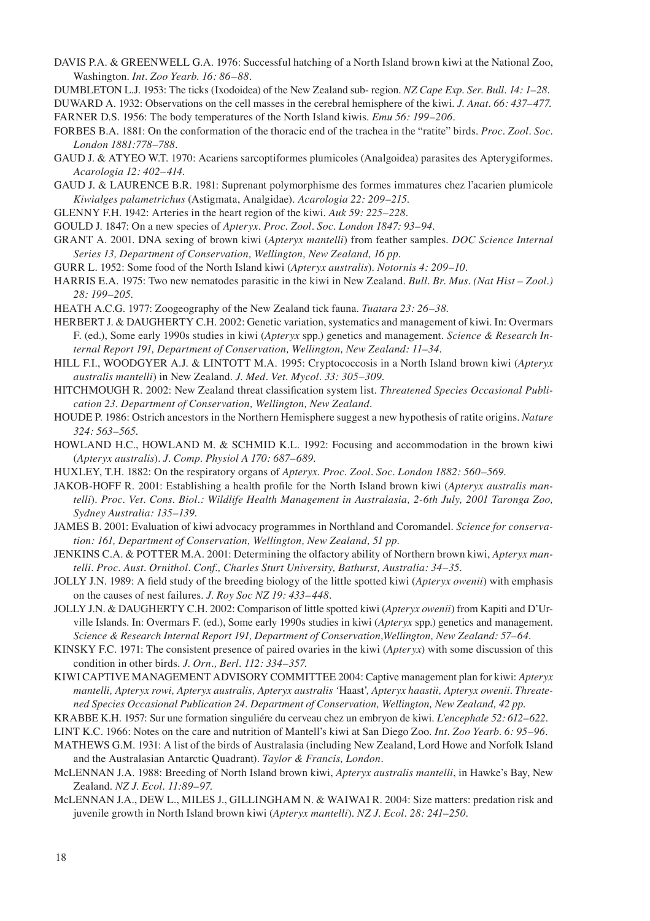- DAVIS P.A. & GREENWELL G.A. 1976: Successful hatching of a North Island brown kiwi at the National Zoo, Washington. *Int. Zoo Yearb. 16: 86–88.*
- DUMBLETON L.J. 1953: The ticks (Ixodoidea) of the New Zealand sub- region. *NZ Cape Exp. Ser. Bull. 14: 1–28.*

DUWARD A. 1932: Observations on the cell masses in the cerebral hemisphere of the kiwi. *J. Anat. 66: 437–477.* FARNER D.S. 1956: The body temperatures of the North Island kiwis. *Emu 56: 199–206.*

- FORBES B.A. 1881: On the conformation of the thoracic end of the trachea in the "ratite" birds. *Proc. Zool. Soc. London 1881:778–788.*
- GAUD J. & ATYEO W.T. 1970: Acariens sarcoptiformes plumicoles (Analgoidea) parasites des Apterygiformes. *Acarologia 12: 402–414*.
- GAUD J. & LAURENCE B.R. 1981: Suprenant polymorphisme des formes immatures chez l'acarien plumicole *Kiwialges palametrichus* (Astigmata, Analgidae). *Acarologia 22: 209–215.*
- GLENNY F.H. 1942: Arteries in the heart region of the kiwi. *Auk 59: 225–228.*
- GOULD J. 1847: On a new species of *Apteryx. Proc. Zool. Soc. London 1847: 93–94.*
- GRANT A. 2001. DNA sexing of brown kiwi (*Apteryx mantelli*) from feather samples. *DOC Science Internal Series 13, Department of Conservation, Wellington, New Zealand, 16 pp.*
- GURR L. 1952: Some food of the North Island kiwi (*Apteryx australis*)*. Notornis 4: 209–10.*
- HARRIS E.A. 1975: Two new nematodes parasitic in the kiwi in New Zealand. *Bull. Br. Mus. (Nat Hist Zool.) 28: 199–205.*
- HEATH A.C.G. 1977: Zoogeography of the New Zealand tick fauna. *Tuatara 23: 26–38*.
- HERBERT J. & DAUGHERTY C.H. 2002: Genetic variation, systematics and management of kiwi. In: Overmars F. (ed.), Some early 1990s studies in kiwi (*Apteryx* spp.) genetics and management. *Science & Research Internal Report 191, Department of Conservation, Wellington, New Zealand: 11–34.*
- HILL F.I., WOODGYER A.J. & LINTOTT M.A. 1995: Cryptococcosis in a North Island brown kiwi (*Apteryx australis mantelli*) in New Zealand. *J. Med. Vet. Mycol. 33: 305–309.*
- HITCHMOUGH R. 2002: New Zealand threat classification system list. *Threatened Species Occasional Publication 23. Department of Conservation, Wellington, New Zealand.*
- HOUDE P. 1986: Ostrich ancestors in the Northern Hemisphere suggest a new hypothesis of ratite origins. *Nature 324: 563–565.*
- HOWLAND H.C., HOWLAND M. & SCHMID K.L. 1992: Focusing and accommodation in the brown kiwi (*Apteryx australis*). *J. Comp. Physiol A 170: 687–689.*
- HUXLEY, T.H. 1882: On the respiratory organs of *Apteryx*. *Proc. Zool. Soc. London 1882: 560–569.*
- JAKOB-HOFF R. 2001: Establishing a health profile for the North Island brown kiwi (*Apteryx australis mantelli*). *Proc. Vet. Cons. Biol.: Wildlife Health Management in Australasia, 2-6th July, 2001 Taronga Zoo, Sydney Australia: 135–139.*
- JAMES B. 2001: Evaluation of kiwi advocacy programmes in Northland and Coromandel. *Science for conservation: 161, Department of Conservation, Wellington, New Zealand, 51 pp.*
- JENKINS C.A. & POTTER M.A. 2001: Determining the olfactory ability of Northern brown kiwi, *Apteryx mantelli. Proc. Aust. Ornithol. Conf., Charles Sturt University, Bathurst, Australia: 34–35.*
- JOLLY J.N. 1989: A field study of the breeding biology of the little spotted kiwi (*Apteryx owenii*) with emphasis on the causes of nest failures. *J. Roy Soc NZ 19: 433–448.*
- JOLLY J.N. & DAUGHERTY C.H. 2002: Comparison of little spotted kiwi (*Apteryx owenii*) from Kapiti and D'Urville Islands. In: Overmars F. (ed.), Some early 1990s studies in kiwi (*Apteryx* spp.) genetics and management. *Science & Research Internal Report 191, Department of Conservation,Wellington, New Zealand: 57–64.*

KINSKY F.C. 1971: The consistent presence of paired ovaries in the kiwi (*Apteryx*) with some discussion of this condition in other birds. *J. Orn., Berl. 112: 334–357.*

- KIWI CAPTIVE MANAGEMENT ADVISORY COMMITTEE 2004: Captive management plan for kiwi: *Apteryx mantelli, Apteryx rowi, Apteryx australis, Apteryx australis '*Haast'*, Apteryx haastii, Apteryx owenii. Threatened Species Occasional Publication 24. Department of Conservation, Wellington, New Zealand, 42 pp.*
- KRABBE K.H. 1957: Sur une formation singuliére du cerveau chez un embryon de kiwi. *L'encephale 52: 612–622.*
- LINT K.C. 1966: Notes on the care and nutrition of Mantell's kiwi at San Diego Zoo. *Int. Zoo Yearb. 6: 95–96.*
- MATHEWS G.M. 1931: A list of the birds of Australasia (including New Zealand, Lord Howe and Norfolk Island and the Australasian Antarctic Quadrant). *Taylor & Francis, London.*
- McLENNAN J.A. 1988: Breeding of North Island brown kiwi, *Apteryx australis mantelli*, in Hawke's Bay, New Zealand. *NZ J. Ecol. 11:89–97.*
- McLENNAN J.A., DEW L., MILES J., GILLINGHAM N. & WAIWAI R. 2004: Size matters: predation risk and juvenile growth in North Island brown kiwi (*Apteryx mantelli*). *NZ J. Ecol. 28: 241–250.*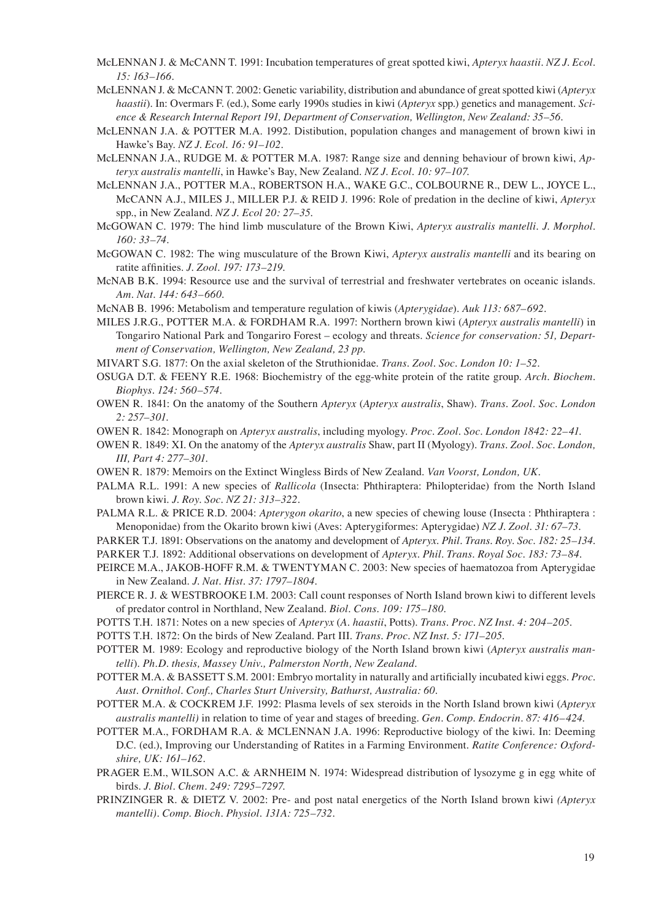- McLENNAN J. & McCANN T. 1991: Incubation temperatures of great spotted kiwi, *Apteryx haastii. NZ J. Ecol. 15: 163–166.*
- McLENNAN J. & McCANN T. 2002: Genetic variability, distribution and abundance of great spotted kiwi (*Apteryx haastii*). In: Overmars F. (ed.), Some early 1990s studies in kiwi (*Apteryx* spp.) genetics and management. *Science & Research Internal Report 191, Department of Conservation, Wellington, New Zealand: 35–56.*
- McLENNAN J.A. & POTTER M.A. 1992. Distibution, population changes and management of brown kiwi in Hawke's Bay. *NZ J. Ecol. 16: 91–102.*
- McLENNAN J.A., RUDGE M. & POTTER M.A. 1987: Range size and denning behaviour of brown kiwi, *Apteryx australis mantelli*, in Hawke's Bay, New Zealand. *NZ J. Ecol. 10: 97–107.*
- McLENNAN J.A., POTTER M.A., ROBERTSON H.A., WAKE G.C., COLBOURNE R., DEW L., JOYCE L., McCANN A.J., MILES J., MILLER P.J. & REID J. 1996: Role of predation in the decline of kiwi, *Apteryx* spp., in New Zealand. *NZ J. Ecol 20: 27–35.*
- McGOWAN C. 1979: The hind limb musculature of the Brown Kiwi, *Apteryx australis mantelli. J. Morphol. 160: 33–74.*
- McGOWAN C. 1982: The wing musculature of the Brown Kiwi, *Apteryx australis mantelli* and its bearing on ratite affinities. *J. Zool. 197: 173–219.*
- McNAB B.K. 1994: Resource use and the survival of terrestrial and freshwater vertebrates on oceanic islands. *Am. Nat. 144: 643–660.*
- McNAB B. 1996: Metabolism and temperature regulation of kiwis (*Apterygidae*). *Auk 113: 687–692.*
- MILES J.R.G., POTTER M.A. & FORDHAM R.A. 1997: Northern brown kiwi (*Apteryx australis mantelli*) in Tongariro National Park and Tongariro Forest – ecology and threats. *Science for conservation: 51, Department of Conservation, Wellington, New Zealand, 23 pp.*
- MIVART S.G. 1877: On the axial skeleton of the Struthionidae. *Trans. Zool. Soc. London 10: 1–52.*
- OSUGA D.T. & FEENY R.E. 1968: Biochemistry of the egg-white protein of the ratite group. *Arch. Biochem. Biophys. 124: 560–574.*
- OWEN R. 1841: On the anatomy of the Southern *Apteryx* (*Apteryx australis*, Shaw). *Trans. Zool. Soc. London 2: 257–301.*
- OWEN R. 1842: Monograph on *Apteryx australis*, including myology. *Proc. Zool. Soc. London 1842: 22–41*.
- OWEN R. 1849: XI. On the anatomy of the *Apteryx australis* Shaw, part II (Myology). *Trans. Zool. Soc. London, III, Part 4: 277–301.*
- OWEN R. 1879: Memoirs on the Extinct Wingless Birds of New Zealand. *Van Voorst, London, UK.*
- PALMA R.L. 1991: A new species of *Rallicola* (Insecta: Phthiraptera: Philopteridae) from the North Island brown kiwi. *J. Roy. Soc. NZ 21: 313–322.*
- PALMA R.L. & PRICE R.D. 2004: *Apterygon okarito*, a new species of chewing louse (Insecta : Phthiraptera : Menoponidae) from the Okarito brown kiwi (Aves: Apterygiformes: Apterygidae) *NZ J. Zool. 31: 67–73.*
- PARKER T.J. 1891: Observations on the anatomy and development of *Apteryx*. *Phil. Trans. Roy. Soc. 182: 25–134.*
- PARKER T.J. 1892: Additional observations on development of *Apteryx*. *Phil. Trans. Royal Soc. 183: 73–84.*
- PEIRCE M.A., JAKOB-HOFF R.M. & TWENTYMAN C. 2003: New species of haematozoa from Apterygidae in New Zealand. *J. Nat. Hist. 37: 1797–1804.*
- PIERCE R. J. & WESTBROOKE I.M. 2003: Call count responses of North Island brown kiwi to different levels of predator control in Northland, New Zealand. *Biol. Cons. 109: 175–180.*
- POTTS T.H. 1871: Notes on a new species of *Apteryx* (*A. haastii*, Potts). *Trans. Proc. NZ Inst. 4: 204–205.*
- POTTS T.H. 1872: On the birds of New Zealand. Part III. *Trans. Proc. NZ Inst. 5: 171–205.*
- POTTER M. 1989: Ecology and reproductive biology of the North Island brown kiwi (*Apteryx australis mantelli*). *Ph.D. thesis, Massey Univ., Palmerston North, New Zealand.*
- POTTER M.A. & BASSETT S.M. 2001: Embryo mortality in naturally and artificially incubated kiwi eggs. *Proc. Aust. Ornithol. Conf., Charles Sturt University, Bathurst, Australia: 60.*
- POTTER M.A. & COCKREM J.F. 1992: Plasma levels of sex steroids in the North Island brown kiwi (*Apteryx australis mantelli)* in relation to time of year and stages of breeding. *Gen. Comp. Endocrin. 87: 416–424*.
- POTTER M.A., FORDHAM R.A. & MCLENNAN J.A. 1996: Reproductive biology of the kiwi. In: Deeming D.C. (ed.), Improving our Understanding of Ratites in a Farming Environment. *Ratite Conference: Oxfordshire, UK: 161–162.*
- PRAGER E.M., WILSON A.C. & ARNHEIM N. 1974: Widespread distribution of lysozyme g in egg white of birds. *J. Biol. Chem. 249: 7295–7297.*
- PRINZINGER R. & DIETZ V. 2002: Pre- and post natal energetics of the North Island brown kiwi *(Apteryx mantelli). Comp. Bioch. Physiol. 131A: 725–732.*